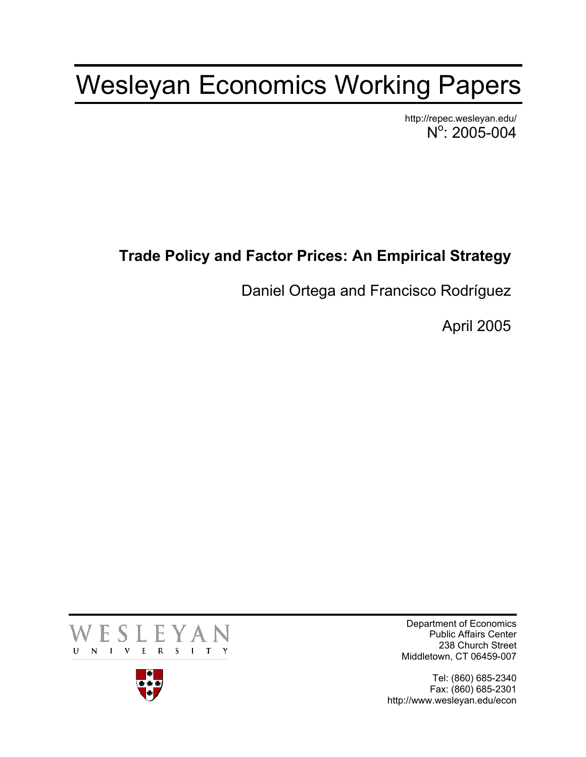## Wesleyan Economics Working Papers

http://repec.wesleyan.edu/  $N^{\circ}$ : 2005-004

## **Trade Policy and Factor Prices: An Empirical Strategy**

Daniel Ortega and Francisco Rodríguez

April 2005





Department of Economics Public Affairs Center 238 Church Street Middletown, CT 06459-007

Tel: (860) 685-2340 Fax: (860) 685-2301 http://www.wesleyan.edu/econ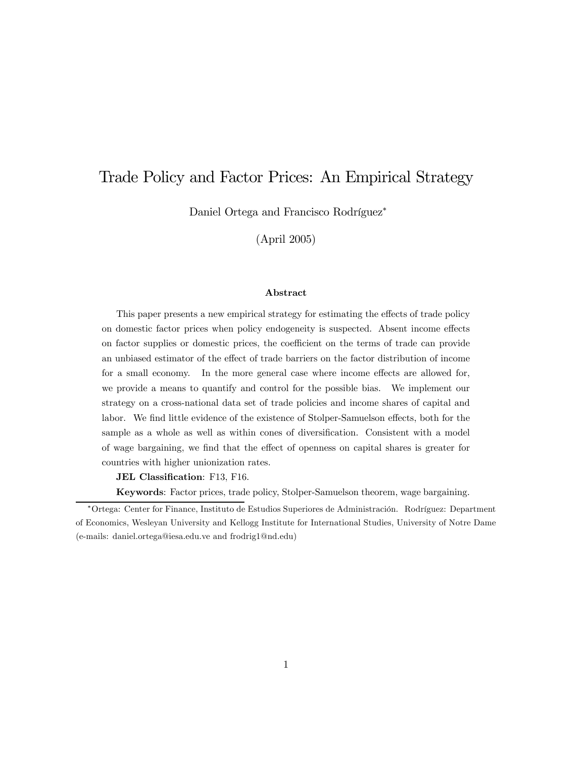## Trade Policy and Factor Prices: An Empirical Strategy

Daniel Ortega and Francisco Rodríguez<sup>∗</sup>

(April 2005)

#### Abstract

This paper presents a new empirical strategy for estimating the effects of trade policy on domestic factor prices when policy endogeneity is suspected. Absent income effects on factor supplies or domestic prices, the coefficient on the terms of trade can provide an unbiased estimator of the effect of trade barriers on the factor distribution of income for a small economy. In the more general case where income effects are allowed for, we provide a means to quantify and control for the possible bias. We implement our strategy on a cross-national data set of trade policies and income shares of capital and labor. We find little evidence of the existence of Stolper-Samuelson effects, both for the sample as a whole as well as within cones of diversification. Consistent with a model of wage bargaining, we find that the effect of openness on capital shares is greater for countries with higher unionization rates.

#### JEL Classification: F13, F16.

Keywords: Factor prices, trade policy, Stolper-Samuelson theorem, wage bargaining.

<sup>∗</sup>Ortega: Center for Finance, Instituto de Estudios Superiores de Administración. Rodríguez: Department of Economics, Wesleyan University and Kellogg Institute for International Studies, University of Notre Dame (e-mails: daniel.ortega@iesa.edu.ve and frodrig1@nd.edu)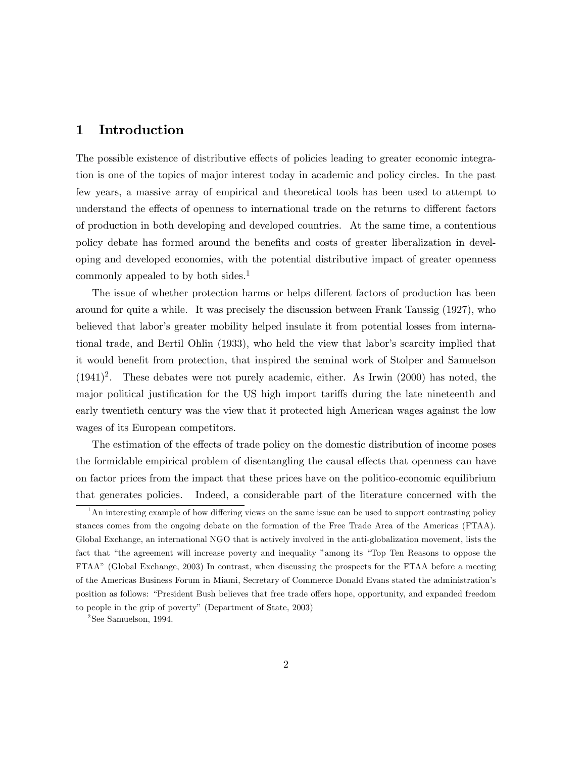## 1 Introduction

The possible existence of distributive effects of policies leading to greater economic integration is one of the topics of major interest today in academic and policy circles. In the past few years, a massive array of empirical and theoretical tools has been used to attempt to understand the effects of openness to international trade on the returns to different factors of production in both developing and developed countries. At the same time, a contentious policy debate has formed around the benefits and costs of greater liberalization in developing and developed economies, with the potential distributive impact of greater openness commonly appealed to by both sides.<sup>1</sup>

The issue of whether protection harms or helps different factors of production has been around for quite a while. It was precisely the discussion between Frank Taussig (1927), who believed that labor's greater mobility helped insulate it from potential losses from international trade, and Bertil Ohlin (1933), who held the view that labor's scarcity implied that it would benefit from protection, that inspired the seminal work of Stolper and Samuelson  $(1941)^2$ . These debates were not purely academic, either. As Irwin  $(2000)$  has noted, the major political justification for the US high import tariffs during the late nineteenth and early twentieth century was the view that it protected high American wages against the low wages of its European competitors.

The estimation of the effects of trade policy on the domestic distribution of income poses the formidable empirical problem of disentangling the causal effects that openness can have on factor prices from the impact that these prices have on the politico-economic equilibrium that generates policies. Indeed, a considerable part of the literature concerned with the

<sup>2</sup>See Samuelson, 1994.

 $1<sup>1</sup>$ An interesting example of how differing views on the same issue can be used to support contrasting policy stances comes from the ongoing debate on the formation of the Free Trade Area of the Americas (FTAA). Global Exchange, an international NGO that is actively involved in the anti-globalization movement, lists the fact that "the agreement will increase poverty and inequality "among its "Top Ten Reasons to oppose the FTAA" (Global Exchange, 2003) In contrast, when discussing the prospects for the FTAA before a meeting of the Americas Business Forum in Miami, Secretary of Commerce Donald Evans stated the administration's position as follows: "President Bush believes that free trade offers hope, opportunity, and expanded freedom to people in the grip of poverty" (Department of State, 2003)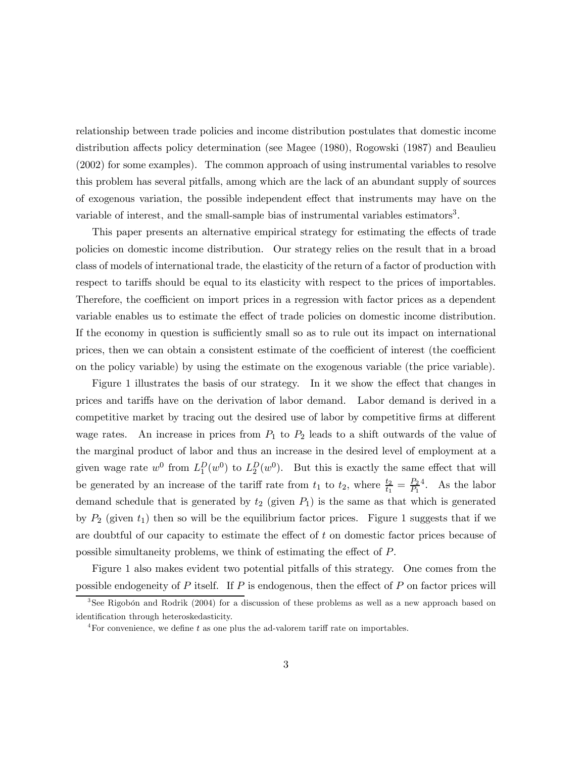relationship between trade policies and income distribution postulates that domestic income distribution affects policy determination (see Magee (1980), Rogowski (1987) and Beaulieu (2002) for some examples). The common approach of using instrumental variables to resolve this problem has several pitfalls, among which are the lack of an abundant supply of sources of exogenous variation, the possible independent effect that instruments may have on the variable of interest, and the small-sample bias of instrumental variables estimators<sup>3</sup>.

This paper presents an alternative empirical strategy for estimating the effects of trade policies on domestic income distribution. Our strategy relies on the result that in a broad class of models of international trade, the elasticity of the return of a factor of production with respect to tariffs should be equal to its elasticity with respect to the prices of importables. Therefore, the coefficient on import prices in a regression with factor prices as a dependent variable enables us to estimate the effect of trade policies on domestic income distribution. If the economy in question is sufficiently small so as to rule out its impact on international prices, then we can obtain a consistent estimate of the coefficient of interest (the coefficient on the policy variable) by using the estimate on the exogenous variable (the price variable).

Figure 1 illustrates the basis of our strategy. In it we show the effect that changes in prices and tariffs have on the derivation of labor demand. Labor demand is derived in a competitive market by tracing out the desired use of labor by competitive firms at different wage rates. An increase in prices from  $P_1$  to  $P_2$  leads to a shift outwards of the value of the marginal product of labor and thus an increase in the desired level of employment at a given wage rate  $w^0$  from  $L_1^D(w^0)$  to  $L_2^D(w^0)$ . But this is exactly the same effect that will be generated by an increase of the tariff rate from  $t_1$  to  $t_2$ , where  $\frac{t_2}{t_1} = \frac{P_2}{P_1}$ <sup>4</sup>. As the labor demand schedule that is generated by  $t_2$  (given  $P_1$ ) is the same as that which is generated by  $P_2$  (given  $t_1$ ) then so will be the equilibrium factor prices. Figure 1 suggests that if we are doubtful of our capacity to estimate the effect of t on domestic factor prices because of possible simultaneity problems, we think of estimating the effect of P.

Figure 1 also makes evident two potential pitfalls of this strategy. One comes from the possible endogeneity of  $P$  itself. If  $P$  is endogenous, then the effect of  $P$  on factor prices will

 $3$ See Rigobón and Rodrik (2004) for a discussion of these problems as well as a new approach based on identification through heteroskedasticity.

<sup>&</sup>lt;sup>4</sup>For convenience, we define t as one plus the ad-valorem tariff rate on importables.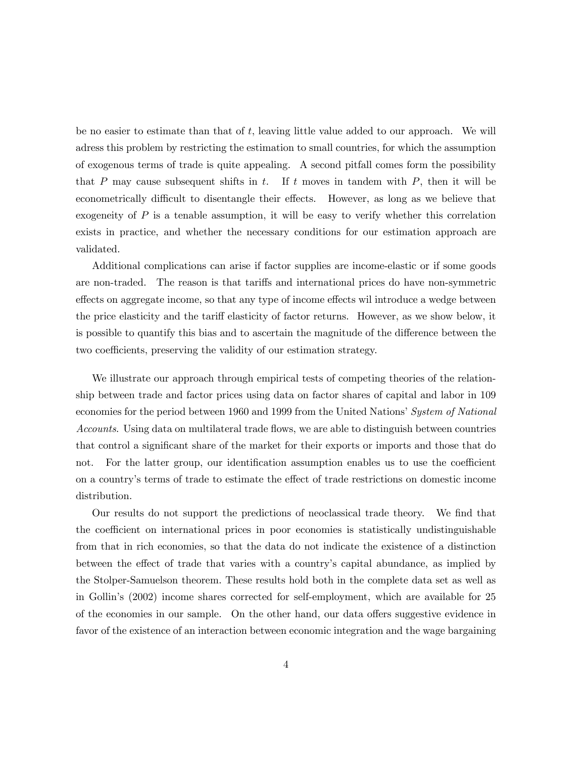be no easier to estimate than that of  $t$ , leaving little value added to our approach. We will adress this problem by restricting the estimation to small countries, for which the assumption of exogenous terms of trade is quite appealing. A second pitfall comes form the possibility that P may cause subsequent shifts in t. If t moves in tandem with  $P$ , then it will be econometrically difficult to disentangle their effects. However, as long as we believe that exogeneity of  $P$  is a tenable assumption, it will be easy to verify whether this correlation exists in practice, and whether the necessary conditions for our estimation approach are validated.

Additional complications can arise if factor supplies are income-elastic or if some goods are non-traded. The reason is that tariffs and international prices do have non-symmetric effects on aggregate income, so that any type of income effects wil introduce a wedge between the price elasticity and the tariff elasticity of factor returns. However, as we show below, it is possible to quantify this bias and to ascertain the magnitude of the difference between the two coefficients, preserving the validity of our estimation strategy.

We illustrate our approach through empirical tests of competing theories of the relationship between trade and factor prices using data on factor shares of capital and labor in 109 economies for the period between 1960 and 1999 from the United Nations' System of National Accounts. Using data on multilateral trade flows, we are able to distinguish between countries that control a significant share of the market for their exports or imports and those that do not. For the latter group, our identification assumption enables us to use the coefficient on a country's terms of trade to estimate the effect of trade restrictions on domestic income distribution.

Our results do not support the predictions of neoclassical trade theory. We find that the coefficient on international prices in poor economies is statistically undistinguishable from that in rich economies, so that the data do not indicate the existence of a distinction between the effect of trade that varies with a country's capital abundance, as implied by the Stolper-Samuelson theorem. These results hold both in the complete data set as well as in Gollin's (2002) income shares corrected for self-employment, which are available for 25 of the economies in our sample. On the other hand, our data offers suggestive evidence in favor of the existence of an interaction between economic integration and the wage bargaining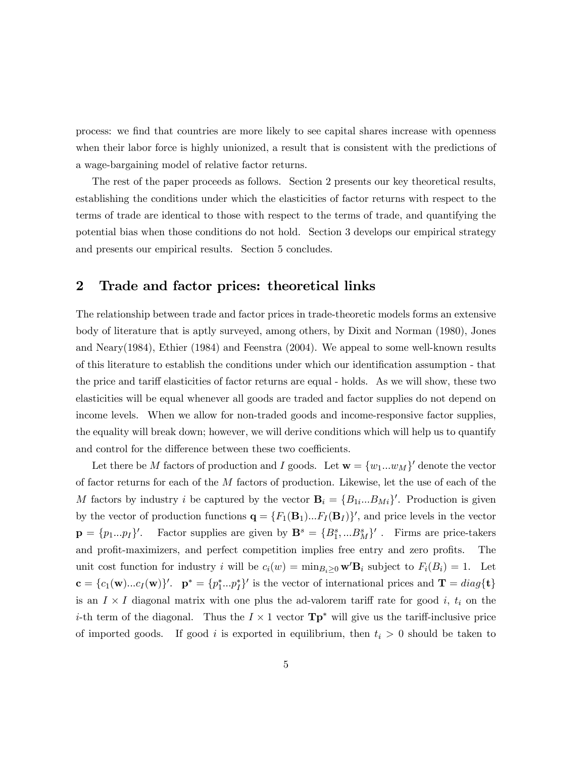process: we find that countries are more likely to see capital shares increase with openness when their labor force is highly unionized, a result that is consistent with the predictions of a wage-bargaining model of relative factor returns.

The rest of the paper proceeds as follows. Section 2 presents our key theoretical results, establishing the conditions under which the elasticities of factor returns with respect to the terms of trade are identical to those with respect to the terms of trade, and quantifying the potential bias when those conditions do not hold. Section 3 develops our empirical strategy and presents our empirical results. Section 5 concludes.

## 2 Trade and factor prices: theoretical links

The relationship between trade and factor prices in trade-theoretic models forms an extensive body of literature that is aptly surveyed, among others, by Dixit and Norman (1980), Jones and Neary(1984), Ethier (1984) and Feenstra (2004). We appeal to some well-known results of this literature to establish the conditions under which our identification assumption - that the price and tariff elasticities of factor returns are equal - holds. As we will show, these two elasticities will be equal whenever all goods are traded and factor supplies do not depend on income levels. When we allow for non-traded goods and income-responsive factor supplies, the equality will break down; however, we will derive conditions which will help us to quantify and control for the difference between these two coefficients.

Let there be M factors of production and I goods. Let  $\mathbf{w} = \{w_1...w_M\}^{\prime}$  denote the vector of factor returns for each of the M factors of production. Likewise, let the use of each of the M factors by industry i be captured by the vector  $\mathbf{B}_i = \{B_{1i}...B_{Mi}\}^{\prime}$ . Production is given by the vector of production functions  $\mathbf{q} = \{F_1(\mathbf{B}_1)...F_I(\mathbf{B}_I)\}'$ , and price levels in the vector  $\mathbf{p} = \{p_1...p_I\}'$ . Factor supplies are given by  $\mathbf{B}^s = \{B_1^s,...B_M^s\}'$ . Firms are price-takers and profit-maximizers, and perfect competition implies free entry and zero profits. The unit cost function for industry i will be  $c_i(w) = \min_{B_i \geq 0} \mathbf{w}' \mathbf{B}_i$  subject to  $F_i(B_i) = 1$ . Let  $\mathbf{c} = \{c_1(\mathbf{w})...c_I(\mathbf{w})\}'$ .  $\mathbf{p}^* = \{p_1^*, \ldots, p_I^*\}'$  is the vector of international prices and  $\mathbf{T} = diag\{\mathbf{t}\}\$ is an  $I \times I$  diagonal matrix with one plus the ad-valorem tariff rate for good i,  $t_i$  on the *i*-th term of the diagonal. Thus the  $I \times 1$  vector  $\mathbf{Tp}^*$  will give us the tariff-inclusive price of imported goods. If good i is exported in equilibrium, then  $t_i > 0$  should be taken to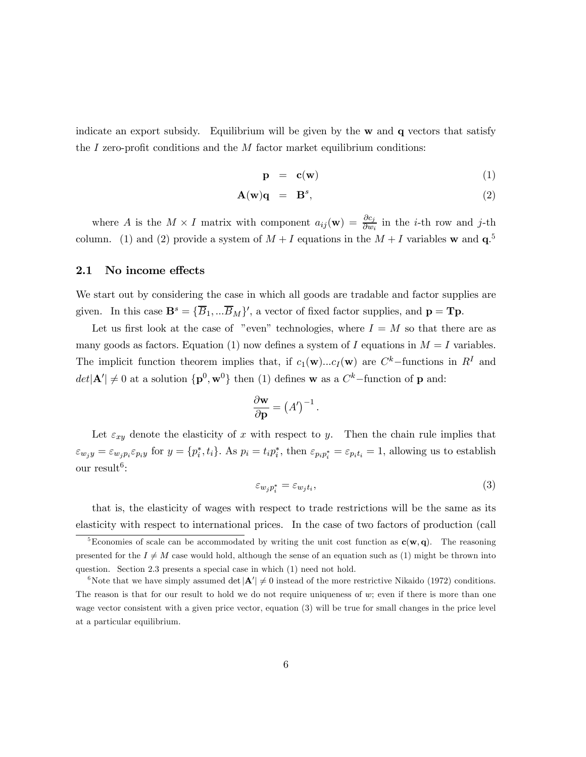indicate an export subsidy. Equilibrium will be given by the  $w$  and  $q$  vectors that satisfy the I zero-profit conditions and the  $M$  factor market equilibrium conditions:

$$
\mathbf{p} = \mathbf{c}(\mathbf{w}) \tag{1}
$$

$$
\mathbf{A}(\mathbf{w})\mathbf{q} = \mathbf{B}^s, \tag{2}
$$

where A is the  $M \times I$  matrix with component  $a_{ij}(\mathbf{w}) = \frac{\partial c_j}{\partial w_i}$  in the *i*-th row and *j*-th column. (1) and (2) provide a system of  $M + I$  equations in the  $M + I$  variables w and  $q<sup>5</sup>$ 

#### 2.1 No income effects

We start out by considering the case in which all goods are tradable and factor supplies are given. In this case  $\mathbf{B}^s = {\overline{B}_1, \dots, \overline{B}_M}$ , a vector of fixed factor supplies, and  $\mathbf{p} = \mathbf{T}\mathbf{p}$ .

Let us first look at the case of "even" technologies, where  $I = M$  so that there are as many goods as factors. Equation (1) now defines a system of I equations in  $M = I$  variables. The implicit function theorem implies that, if  $c_1(\mathbf{w})...c_I(\mathbf{w})$  are  $C^k$ -functions in  $R^I$  and  $det|\mathbf{A}'| \neq 0$  at a solution  $\{\mathbf{p}^0, \mathbf{w}^0\}$  then (1) defines **w** as a  $C^k$ -function of **p** and:

$$
\frac{\partial \mathbf{w}}{\partial \mathbf{p}} = (A')^{-1}.
$$

Let  $\varepsilon_{xy}$  denote the elasticity of x with respect to y. Then the chain rule implies that  $\varepsilon_{w_jy} = \varepsilon_{w_jp_i}\varepsilon_{p_iy}$  for  $y = \{p_i^*, t_i\}$ . As  $p_i = t_i p_i^*$ , then  $\varepsilon_{p_i p_i^*} = \varepsilon_{p_i t_i} = 1$ , allowing us to establish our result<sup>6</sup>:

$$
\varepsilon_{w_j p_i^*} = \varepsilon_{w_j t_i},\tag{3}
$$

that is, the elasticity of wages with respect to trade restrictions will be the same as its elasticity with respect to international prices. In the case of two factors of production (call

<sup>&</sup>lt;sup>5</sup>Economies of scale can be accommodated by writing the unit cost function as  $c(w, q)$ . The reasoning presented for the  $I \neq M$  case would hold, although the sense of an equation such as (1) might be thrown into question. Section 2.3 presents a special case in which (1) need not hold.

<sup>&</sup>lt;sup>6</sup>Note that we have simply assumed det  $|\mathbf{A}'| \neq 0$  instead of the more restrictive Nikaido (1972) conditions. The reason is that for our result to hold we do not require uniqueness of  $w$ ; even if there is more than one wage vector consistent with a given price vector, equation (3) will be true for small changes in the price level at a particular equilibrium.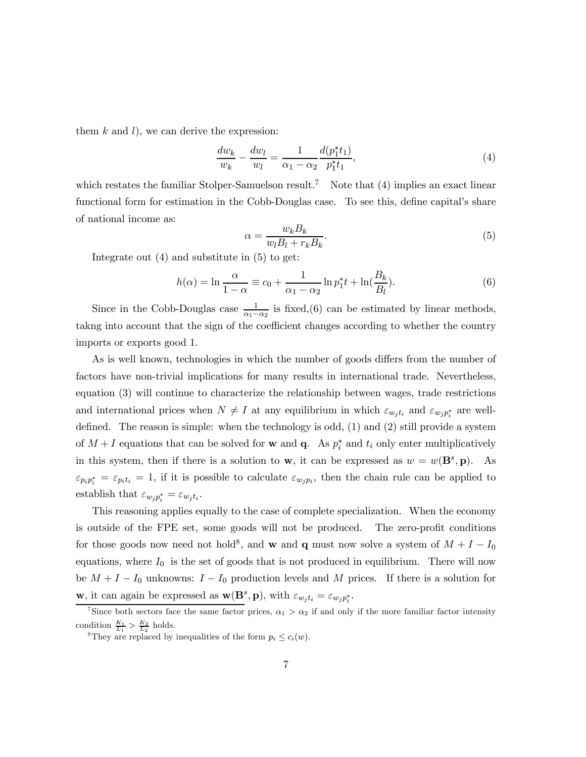them  $k$  and  $l$ ), we can derive the expression:

$$
\frac{dw_k}{w_k} - \frac{dw_l}{w_l} = \frac{1}{\alpha_1 - \alpha_2} \frac{d(p_1^* t_1)}{p_1^* t_1},\tag{4}
$$

which restates the familiar Stolper-Samuelson result.<sup>7</sup> Note that (4) implies an exact linear functional form for estimation in the Cobb-Douglas case. To see this, define capital's share of national income as:

$$
\alpha = \frac{w_k B_k}{w_l B_l + r_k B_k}.\tag{5}
$$

Integrate out (4) and substitute in (5) to get:

$$
h(\alpha) = \ln \frac{\alpha}{1 - \alpha} \equiv c_0 + \frac{1}{\alpha_1 - \alpha_2} \ln p_1^* t + \ln \left( \frac{B_k}{B_l} \right). \tag{6}
$$

Since in the Cobb-Douglas case  $\frac{1}{\alpha_1-\alpha_2}$  is fixed,(6) can be estimated by linear methods, takng into account that the sign of the coefficient changes according to whether the country imports or exports good 1.

As is well known, technologies in which the number of goods differs from the number of factors have non-trivial implications for many results in international trade. Nevertheless, equation (3) will continue to characterize the relationship between wages, trade restrictions and international prices when  $N \neq I$  at any equilibrium in which  $\varepsilon_{w_j t_i}$  and  $\varepsilon_{w_j p_i^*}$  are welldefined. The reason is simple: when the technology is odd, (1) and (2) still provide a system of  $M + I$  equations that can be solved for **w** and **q**. As  $p_i^*$  and  $t_i$  only enter multiplicatively in this system, then if there is a solution to **w**, it can be expressed as  $w = w(\mathbf{B}^s, \mathbf{p})$ . As  $\varepsilon_{p_i p_i^*} = \varepsilon_{p_i t_i} = 1$ , if it is possible to calculate  $\varepsilon_{w_j p_i}$ , then the chain rule can be applied to establish that  $\varepsilon_{w_j p_i^*} = \varepsilon_{w_j t_i}$ .

This reasoning applies equally to the case of complete specialization. When the economy is outside of the FPE set, some goods will not be produced. The zero-profit conditions for those goods now need not hold<sup>8</sup>, and **w** and **q** must now solve a system of  $M + I - I_0$ equations, where  $I_0$  is the set of goods that is not produced in equilibrium. There will now be  $M + I - I_0$  unknowns:  $I - I_0$  production levels and M prices. If there is a solution for **w**, it can again be expressed as  $\mathbf{w}(\mathbf{B}^s, \mathbf{p})$ , with  $\varepsilon_{w_j t_i} = \varepsilon_{w_j p_i^*}$ .

<sup>&</sup>lt;sup>7</sup>Since both sectors face the same factor prices,  $\alpha_1 > \alpha_2$  if and only if the more familiar factor intensity condition  $\frac{K_1}{L_1} > \frac{K_2}{L_2}$  holds.<br><sup>8</sup>They are replaced by inequalities of the form  $p_i \le c_i(w)$ .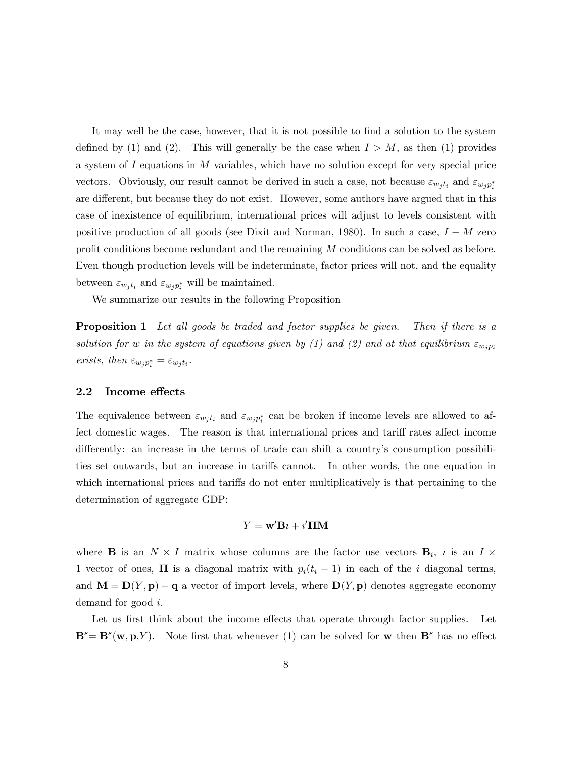It may well be the case, however, that it is not possible to find a solution to the system defined by (1) and (2). This will generally be the case when  $I > M$ , as then (1) provides a system of I equations in M variables, which have no solution except for very special price vectors. Obviously, our result cannot be derived in such a case, not because  $\varepsilon_{w_j t_i}$  and  $\varepsilon_{w_j p_i^*}$ are different, but because they do not exist. However, some authors have argued that in this case of inexistence of equilibrium, international prices will adjust to levels consistent with positive production of all goods (see Dixit and Norman, 1980). In such a case,  $I - M$  zero profit conditions become redundant and the remaining M conditions can be solved as before. Even though production levels will be indeterminate, factor prices will not, and the equality between  $\varepsilon_{w_j t_i}$  and  $\varepsilon_{w_j p_i^*}$  will be maintained.

We summarize our results in the following Proposition

**Proposition 1** Let all goods be traded and factor supplies be given. Then if there is a solution for w in the system of equations given by (1) and (2) and at that equilibrium  $\varepsilon_{w_i p_i}$ exists, then  $\varepsilon_{w_j p_i^*} = \varepsilon_{w_j t_i}$ .

#### 2.2 Income effects

The equivalence between  $\varepsilon_{w_j t_i}$  and  $\varepsilon_{w_j p_i^*}$  can be broken if income levels are allowed to affect domestic wages. The reason is that international prices and tariff rates affect income differently: an increase in the terms of trade can shift a country's consumption possibilities set outwards, but an increase in tariffs cannot. In other words, the one equation in which international prices and tariffs do not enter multiplicatively is that pertaining to the determination of aggregate GDP:

#### $Y = \mathbf{w}' \mathbf{B} \imath + \imath' \mathbf{\Pi} \mathbf{M}$

where **B** is an  $N \times I$  matrix whose columns are the factor use vectors  $\mathbf{B}_i$ , is an  $I \times I$ 1 vector of ones,  $\Pi$  is a diagonal matrix with  $p_i(t_i - 1)$  in each of the i diagonal terms, and  $\mathbf{M} = \mathbf{D}(Y, \mathbf{p}) - \mathbf{q}$  a vector of import levels, where  $\mathbf{D}(Y, \mathbf{p})$  denotes aggregate economy demand for good i.

Let us first think about the income effects that operate through factor supplies. Let  $\mathbf{B}^s = \mathbf{B}^s(\mathbf{w}, \mathbf{p}, Y)$ . Note first that whenever (1) can be solved for **w** then  $\mathbf{B}^s$  has no effect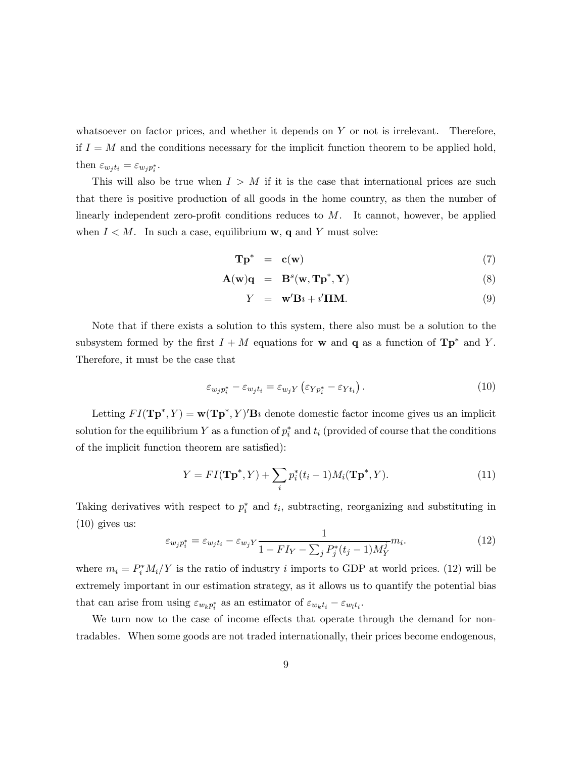whatsoever on factor prices, and whether it depends on  $Y$  or not is irrelevant. Therefore, if  $I = M$  and the conditions necessary for the implicit function theorem to be applied hold, then  $\varepsilon_{w_j t_i} = \varepsilon_{w_j p_i^*}.$ 

This will also be true when  $I > M$  if it is the case that international prices are such that there is positive production of all goods in the home country, as then the number of linearly independent zero-profit conditions reduces to  $M$ . It cannot, however, be applied when  $I < M$ . In such a case, equilibrium **w**, **q** and Y must solve:

$$
\mathbf{Tp}^* = \mathbf{c}(\mathbf{w}) \tag{7}
$$

$$
\mathbf{A}(\mathbf{w})\mathbf{q} = \mathbf{B}^s(\mathbf{w}, \mathbf{T}\mathbf{p}^*, \mathbf{Y}) \tag{8}
$$

$$
Y = \mathbf{w}' \mathbf{B} \imath + \imath' \mathbf{\Pi} \mathbf{M}.
$$
 (9)

Note that if there exists a solution to this system, there also must be a solution to the subsystem formed by the first  $I + M$  equations for w and q as a function of  $\mathbf{Tp}^*$  and Y. Therefore, it must be the case that

$$
\varepsilon_{w_j p_i^*} - \varepsilon_{w_j t_i} = \varepsilon_{w_j Y} \left( \varepsilon_{Y p_i^*} - \varepsilon_{Y t_i} \right). \tag{10}
$$

Letting  $FI(\mathbf{Tp}^*, Y) = \mathbf{w}(\mathbf{Tp}^*, Y)'\mathbf{B}$  denote domestic factor income gives us an implicit solution for the equilibrium Y as a function of  $p_i^*$  and  $t_i$  (provided of course that the conditions of the implicit function theorem are satisfied):

$$
Y = FI(\mathbf{Tp}^*, Y) + \sum_{i} p_i^*(t_i - 1)M_i(\mathbf{Tp}^*, Y). \tag{11}
$$

Taking derivatives with respect to  $p_i^*$  and  $t_i$ , subtracting, reorganizing and substituting in (10) gives us:

$$
\varepsilon_{w_j p_i^*} = \varepsilon_{w_j t_i} - \varepsilon_{w_j Y} \frac{1}{1 - FI_Y - \sum_j P_j^*(t_j - 1) M_Y^j} m_i.
$$
\n(12)

where  $m_i = P_i^* M_i / Y$  is the ratio of industry i imports to GDP at world prices. (12) will be extremely important in our estimation strategy, as it allows us to quantify the potential bias that can arise from using  $\varepsilon_{w_k p_i^*}$  as an estimator of  $\varepsilon_{w_k t_i} - \varepsilon_{w_l t_i}$ .

We turn now to the case of income effects that operate through the demand for nontradables. When some goods are not traded internationally, their prices become endogenous,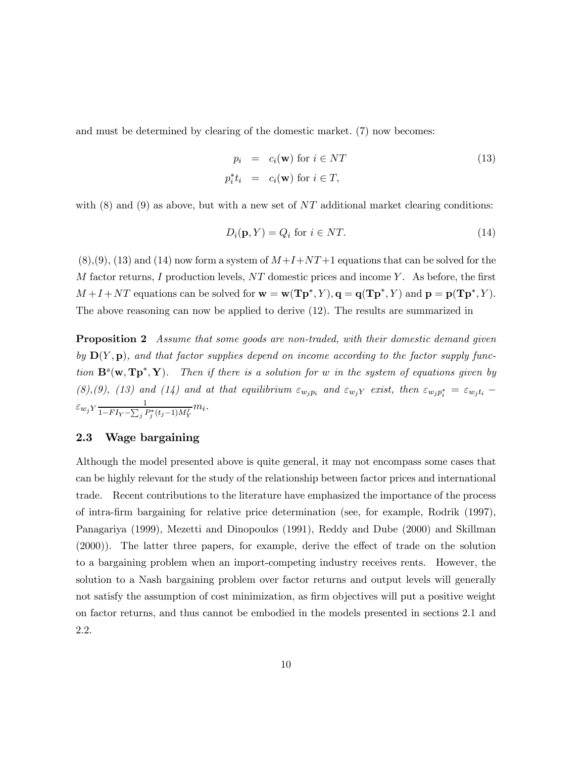and must be determined by clearing of the domestic market. (7) now becomes:

$$
p_i = c_i(\mathbf{w}) \text{ for } i \in NT
$$
  
\n
$$
p_i^* t_i = c_i(\mathbf{w}) \text{ for } i \in T,
$$
\n(13)

with  $(8)$  and  $(9)$  as above, but with a new set of NT additional market clearing conditions:

$$
D_i(\mathbf{p}, Y) = Q_i \text{ for } i \in NT.
$$
\n<sup>(14)</sup>

 $(8)(9)(9)$ ,  $(13)$  and  $(14)$  now form a system of  $M+I+NT+1$  equations that can be solved for the  $M$  factor returns, I production levels,  $NT$  domestic prices and income Y. As before, the first  $M + I + NT$  equations can be solved for  $\mathbf{w} = \mathbf{w}(\mathbf{Tp}^*, Y), \mathbf{q} = \mathbf{q}(\mathbf{Tp}^*, Y)$  and  $\mathbf{p} = \mathbf{p}(\mathbf{Tp}^*, Y)$ . The above reasoning can now be applied to derive (12). The results are summarized in

**Proposition 2** Assume that some goods are non-traded, with their domestic demand given by  $\mathbf{D}(Y, \mathbf{p})$ , and that factor supplies depend on income according to the factor supply function  $\mathbf{B}^s(\mathbf{w}, \mathbf{Tp}^*, \mathbf{Y})$ . Then if there is a solution for w in the system of equations given by (8),(9), (13) and (14) and at that equilibrium  $\varepsilon_{w_jp_i}$  and  $\varepsilon_{w_jY}$  exist, then  $\varepsilon_{w_jp_i^*} = \varepsilon_{w_jt_i}$  –  $\varepsilon_{w_j} Y \frac{1}{1 - F I_{Y} - \sum_{l} P_{l}}$  $\frac{1}{1-FI_Y-\sum_j P_j^*(t_j-1)M_Y^j}m_i.$ 

#### 2.3 Wage bargaining

Although the model presented above is quite general, it may not encompass some cases that can be highly relevant for the study of the relationship between factor prices and international trade. Recent contributions to the literature have emphasized the importance of the process of intra-firm bargaining for relative price determination (see, for example, Rodrik (1997), Panagariya (1999), Mezetti and Dinopoulos (1991), Reddy and Dube (2000) and Skillman (2000)). The latter three papers, for example, derive the effect of trade on the solution to a bargaining problem when an import-competing industry receives rents. However, the solution to a Nash bargaining problem over factor returns and output levels will generally not satisfy the assumption of cost minimization, as firm objectives will put a positive weight on factor returns, and thus cannot be embodied in the models presented in sections 2.1 and 2.2.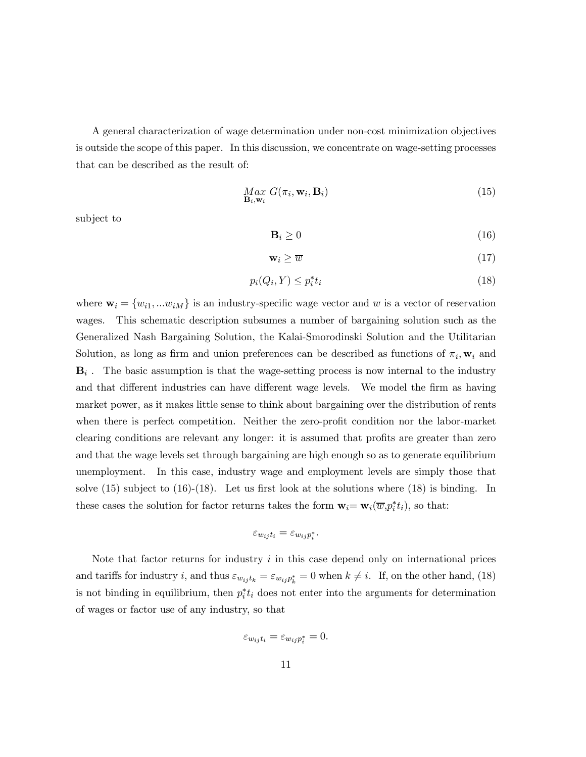A general characterization of wage determination under non-cost minimization objectives is outside the scope of this paper. In this discussion, we concentrate on wage-setting processes that can be described as the result of:

$$
\underset{\mathbf{B}_i, \mathbf{w}_i}{Max} G(\pi_i, \mathbf{w}_i, \mathbf{B}_i)
$$
\n(15)

subject to

$$
\mathbf{B}_i \ge 0\tag{16}
$$

$$
\mathbf{w}_i \ge \overline{w} \tag{17}
$$

$$
p_i(Q_i, Y) \le p_i^* t_i \tag{18}
$$

where  $\mathbf{w}_i = \{w_{i1},...w_{iM}\}\$ is an industry-specific wage vector and  $\overline{w}$  is a vector of reservation wages. This schematic description subsumes a number of bargaining solution such as the Generalized Nash Bargaining Solution, the Kalai-Smorodinski Solution and the Utilitarian Solution, as long as firm and union preferences can be described as functions of  $\pi_i$ ,  $w_i$  and  $B_i$ . The basic assumption is that the wage-setting process is now internal to the industry and that different industries can have different wage levels. We model the firm as having market power, as it makes little sense to think about bargaining over the distribution of rents when there is perfect competition. Neither the zero-profit condition nor the labor-market clearing conditions are relevant any longer: it is assumed that profits are greater than zero and that the wage levels set through bargaining are high enough so as to generate equilibrium unemployment. In this case, industry wage and employment levels are simply those that solve  $(15)$  subject to  $(16)-(18)$ . Let us first look at the solutions where  $(18)$  is binding. In these cases the solution for factor returns takes the form  $\mathbf{w}_i = \mathbf{w}_i(\overline{w}, p_i^* t_i)$ , so that:

$$
\varepsilon_{w_{ij}t_i} = \varepsilon_{w_{ij}p_i^*}.
$$

Note that factor returns for industry  $i$  in this case depend only on international prices and tariffs for industry *i*, and thus  $\varepsilon_{w_{ij}t_k} = \varepsilon_{w_{ij}p_k^*} = 0$  when  $k \neq i$ . If, on the other hand, (18) is not binding in equilibrium, then  $p_i^* t_i$  does not enter into the arguments for determination of wages or factor use of any industry, so that

$$
\varepsilon_{w_{ij}t_i} = \varepsilon_{w_{ij}p_i^*} = 0.
$$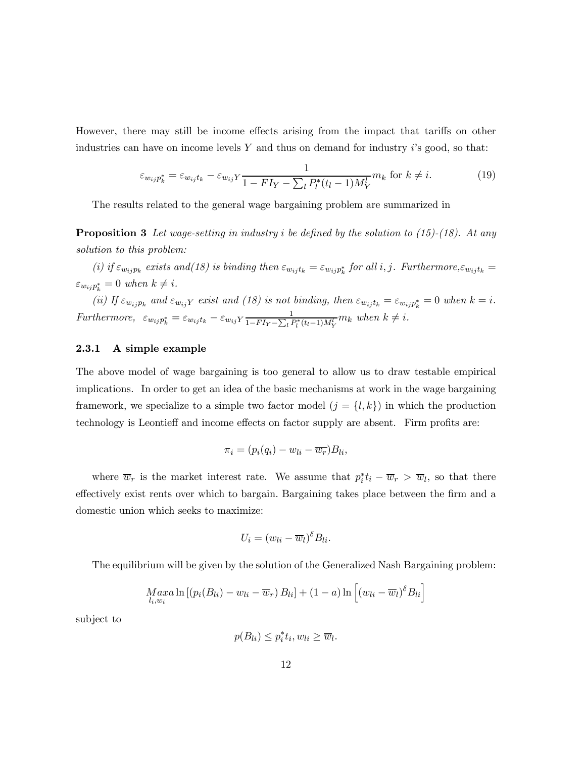However, there may still be income effects arising from the impact that tariffs on other industries can have on income levels  $Y$  and thus on demand for industry  $i$ 's good, so that:

$$
\varepsilon_{w_{ij}p_k^*} = \varepsilon_{w_{ij}t_k} - \varepsilon_{w_{ij}Y} \frac{1}{1 - FI_Y - \sum_l P_l^*(t_l - 1)M_Y^l} m_k \text{ for } k \neq i.
$$
 (19)

The results related to the general wage bargaining problem are summarized in

**Proposition 3** Let wage-setting in industry i be defined by the solution to (15)-(18). At any solution to this problem:

(i) if  $\varepsilon_{w_{ij}p_k}$  exists and(18) is binding then  $\varepsilon_{w_{ij}t_k} = \varepsilon_{w_{ij}p_k^*}$  for all i, j. Furthermore, $\varepsilon_{w_{ij}t_k} =$  $\varepsilon_{w_{ij}p_k^*} = 0$  when  $k \neq i$ .

(ii) If  $\varepsilon_{w_{ij}p_k}$  and  $\varepsilon_{w_{ij}Y}$  exist and (18) is not binding, then  $\varepsilon_{w_{ij}t_k} = \varepsilon_{w_{ij}p_k^*} = 0$  when  $k = i$ . Furthermore,  $\varepsilon_{w_{ij}p_k^*} = \varepsilon_{w_{ij}t_k} - \varepsilon_{w_{ij}Y} \frac{1}{1 - FI_Y - \sum_l P_l^*(t_l - 1)M_Y^l} m_k$  when  $k \neq i$ .

#### 2.3.1 A simple example

The above model of wage bargaining is too general to allow us to draw testable empirical implications. In order to get an idea of the basic mechanisms at work in the wage bargaining framework, we specialize to a simple two factor model  $(j = \{l, k\})$  in which the production technology is Leontieff and income effects on factor supply are absent. Firm profits are:

$$
\pi_i = (p_i(q_i) - w_{li} - \overline{w_r})B_{li},
$$

where  $\overline{w}_r$  is the market interest rate. We assume that  $p_i^* t_i - \overline{w}_r > \overline{w}_l$ , so that there effectively exist rents over which to bargain. Bargaining takes place between the firm and a domestic union which seeks to maximize:

$$
U_i = (w_{li} - \overline{w}_l)^{\delta} B_{li}.
$$

The equilibrium will be given by the solution of the Generalized Nash Bargaining problem:

$$
Max_{l_i,w_i} \ln \left[ (p_i(B_{li}) - w_{li} - \overline{w}_r) B_{li} \right] + (1 - a) \ln \left[ (w_{li} - \overline{w}_l)^{\delta} B_{li} \right]
$$

subject to

 $p(B_{li}) \leq p_i^* t_i, w_{li} \geq \overline{w}_l.$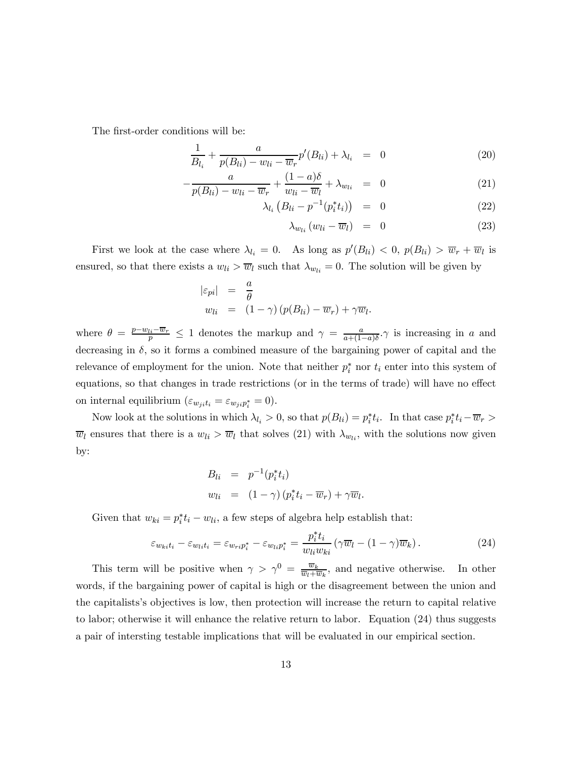The first-order conditions will be:

$$
\frac{1}{B_{l_i}} + \frac{a}{p(B_{li}) - w_{li} - \overline{w}_r} p'(B_{li}) + \lambda_{l_i} = 0
$$
\n(20)

$$
-\frac{a}{p(B_{li}) - w_{li} - \overline{w}_r} + \frac{(1-a)\delta}{w_{li} - \overline{w}_l} + \lambda_{w_{li}} = 0
$$
\n(21)

$$
\lambda_{l_i} \left( B_{li} - p^{-1} (p_i^* t_i) \right) = 0 \tag{22}
$$

$$
\lambda_{w_{li}}(w_{li} - \overline{w}_l) = 0 \tag{23}
$$

First we look at the case where  $\lambda_{l_i} = 0$ . As long as  $p'(B_{li}) < 0$ ,  $p(B_{li}) > \overline{w}_r + \overline{w}_l$  is ensured, so that there exists a  $w_{li} > \overline{w}_l$  such that  $\lambda_{w_{li}} = 0$ . The solution will be given by

$$
\begin{array}{rcl}\n|\varepsilon_{pi}| & = & \frac{a}{\theta} \\
w_{li} & = & (1 - \gamma) \left( p(B_{li}) - \overline{w}_r \right) + \gamma \overline{w}_l.\n\end{array}
$$

where  $\theta = \frac{p - w_{li} - \overline{w_r}}{p} \le 1$  denotes the markup and  $\gamma = \frac{a}{a + (1 - a)\delta}$ . is increasing in a and decreasing in  $\delta$ , so it forms a combined measure of the bargaining power of capital and the relevance of employment for the union. Note that neither  $p_i^*$  nor  $t_i$  enter into this system of equations, so that changes in trade restrictions (or in the terms of trade) will have no effect on internal equilibrium  $(\varepsilon_{w_jit_i} = \varepsilon_{w_jip_i^*} = 0)$ .

Now look at the solutions in which  $\lambda_{l_i} > 0$ , so that  $p(B_{li}) = p_i^* t_i$ . In that case  $p_i^* t_i - \overline{w}_r >$  $\overline{w}_l$  ensures that there is a  $w_{li} > \overline{w}_l$  that solves (21) with  $\lambda_{w_{li}}$ , with the solutions now given by:

$$
B_{li} = p^{-1}(p_i^* t_i)
$$
  
\n
$$
w_{li} = (1 - \gamma) (p_i^* t_i - \overline{w}_r) + \gamma \overline{w}_l.
$$

Given that  $w_{ki} = p_i^* t_i - w_{li}$ , a few steps of algebra help establish that:

$$
\varepsilon_{w_{ki}t_i} - \varepsilon_{w_{li}t_i} = \varepsilon_{w_{ri}p_i^*} - \varepsilon_{w_{li}p_i^*} = \frac{p_i^*t_i}{w_{li}w_{ki}} \left( \gamma \overline{w}_l - (1 - \gamma) \overline{w}_k \right). \tag{24}
$$

This term will be positive when  $\gamma > \gamma^0 = \frac{\overline{w}_k}{\overline{w}_l + \overline{w}_k}$ , and negative otherwise. In other words, if the bargaining power of capital is high or the disagreement between the union and the capitalists's objectives is low, then protection will increase the return to capital relative to labor; otherwise it will enhance the relative return to labor. Equation (24) thus suggests a pair of intersting testable implications that will be evaluated in our empirical section.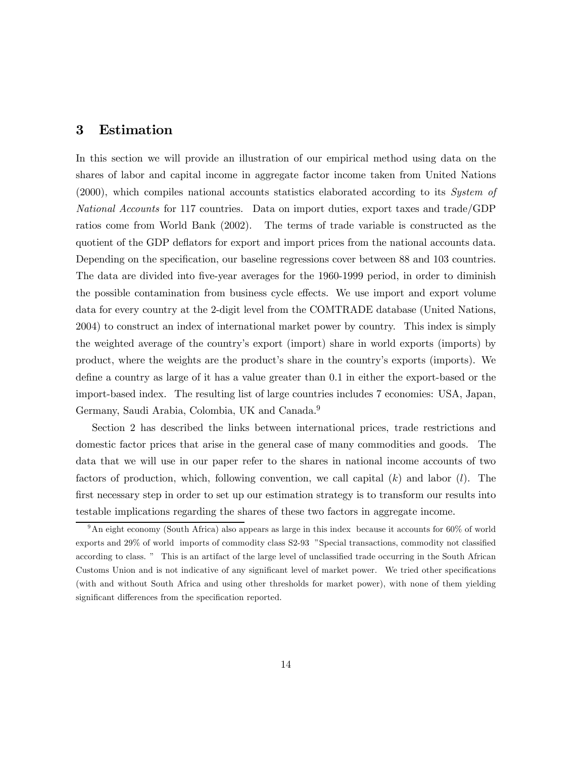## 3 Estimation

In this section we will provide an illustration of our empirical method using data on the shares of labor and capital income in aggregate factor income taken from United Nations (2000), which compiles national accounts statistics elaborated according to its System of National Accounts for 117 countries. Data on import duties, export taxes and trade/GDP ratios come from World Bank (2002). The terms of trade variable is constructed as the quotient of the GDP deflators for export and import prices from the national accounts data. Depending on the specification, our baseline regressions cover between 88 and 103 countries. The data are divided into five-year averages for the 1960-1999 period, in order to diminish the possible contamination from business cycle effects. We use import and export volume data for every country at the 2-digit level from the COMTRADE database (United Nations, 2004) to construct an index of international market power by country. This index is simply the weighted average of the country's export (import) share in world exports (imports) by product, where the weights are the product's share in the country's exports (imports). We define a country as large of it has a value greater than 0.1 in either the export-based or the import-based index. The resulting list of large countries includes 7 economies: USA, Japan, Germany, Saudi Arabia, Colombia, UK and Canada.<sup>9</sup>

Section 2 has described the links between international prices, trade restrictions and domestic factor prices that arise in the general case of many commodities and goods. The data that we will use in our paper refer to the shares in national income accounts of two factors of production, which, following convention, we call capital  $(k)$  and labor  $(l)$ . The first necessary step in order to set up our estimation strategy is to transform our results into testable implications regarding the shares of these two factors in aggregate income.

 $9\text{An eight economy (South Africa) also appears as large in this index because it accounts for 60% of world.}$ exports and 29% of world imports of commodity class S2-93 "Special transactions, commodity not classified according to class. " This is an artifact of the large level of unclassified trade occurring in the South African Customs Union and is not indicative of any significant level of market power. We tried other specifications (with and without South Africa and using other thresholds for market power), with none of them yielding significant differences from the specification reported.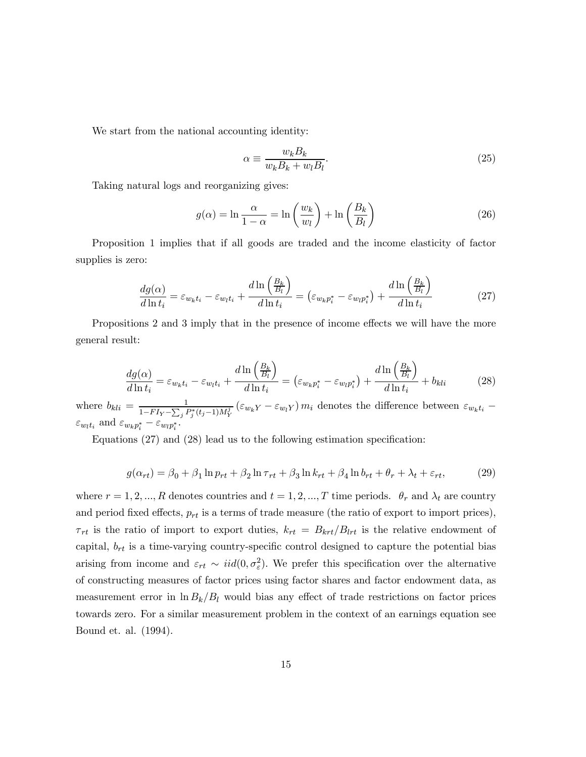We start from the national accounting identity:

$$
\alpha \equiv \frac{w_k B_k}{w_k B_k + w_l B_l}.\tag{25}
$$

Taking natural logs and reorganizing gives:

$$
g(\alpha) = \ln \frac{\alpha}{1 - \alpha} = \ln \left( \frac{w_k}{w_l} \right) + \ln \left( \frac{B_k}{B_l} \right)
$$
 (26)

Proposition 1 implies that if all goods are traded and the income elasticity of factor supplies is zero:

$$
\frac{dg(\alpha)}{d\ln t_i} = \varepsilon_{w_k t_i} - \varepsilon_{w_l t_i} + \frac{d\ln\left(\frac{B_k}{B_l}\right)}{d\ln t_i} = \left(\varepsilon_{w_k p_i^*} - \varepsilon_{w_l p_i^*}\right) + \frac{d\ln\left(\frac{B_k}{B_l}\right)}{d\ln t_i} \tag{27}
$$

Propositions 2 and 3 imply that in the presence of income effects we will have the more general result:

$$
\frac{dg(\alpha)}{d\ln t_i} = \varepsilon_{w_k t_i} - \varepsilon_{w_l t_i} + \frac{d\ln\left(\frac{B_k}{B_l}\right)}{d\ln t_i} = \left(\varepsilon_{w_k p_i^*} - \varepsilon_{w_l p_i^*}\right) + \frac{d\ln\left(\frac{B_k}{B_l}\right)}{d\ln t_i} + b_{kli} \tag{28}
$$

where  $b_{kli} = \frac{1}{1 - FI_Y - \sum_j P_j^*(t_j-1)M_Y^j} (\varepsilon_{w_kY} - \varepsilon_{w_lY}) m_i$  denotes the difference between  $\varepsilon_{w_kt_i}$  –  $\varepsilon_{w_l t_i}$  and  $\varepsilon_{w_k p_i^*} - \varepsilon_{w_l p_i^*}$ .

Equations (27) and (28) lead us to the following estimation specification:

$$
g(\alpha_{rt}) = \beta_0 + \beta_1 \ln p_{rt} + \beta_2 \ln \tau_{rt} + \beta_3 \ln k_{rt} + \beta_4 \ln b_{rt} + \theta_r + \lambda_t + \varepsilon_{rt},\tag{29}
$$

where  $r = 1, 2, ..., R$  denotes countries and  $t = 1, 2, ..., T$  time periods.  $\theta_r$  and  $\lambda_t$  are country and period fixed effects,  $p_{rt}$  is a terms of trade measure (the ratio of export to import prices),  $\tau_{rt}$  is the ratio of import to export duties,  $k_{rt} = B_{krt}/B_{lrt}$  is the relative endowment of capital,  $b_{rt}$  is a time-varying country-specific control designed to capture the potential bias arising from income and  $\varepsilon_{rt} \sim \text{iid}(0, \sigma_{\varepsilon}^2)$ . We prefer this specification over the alternative of constructing measures of factor prices using factor shares and factor endowment data, as measurement error in  $\ln B_k/B_l$  would bias any effect of trade restrictions on factor prices towards zero. For a similar measurement problem in the context of an earnings equation see Bound et. al. (1994).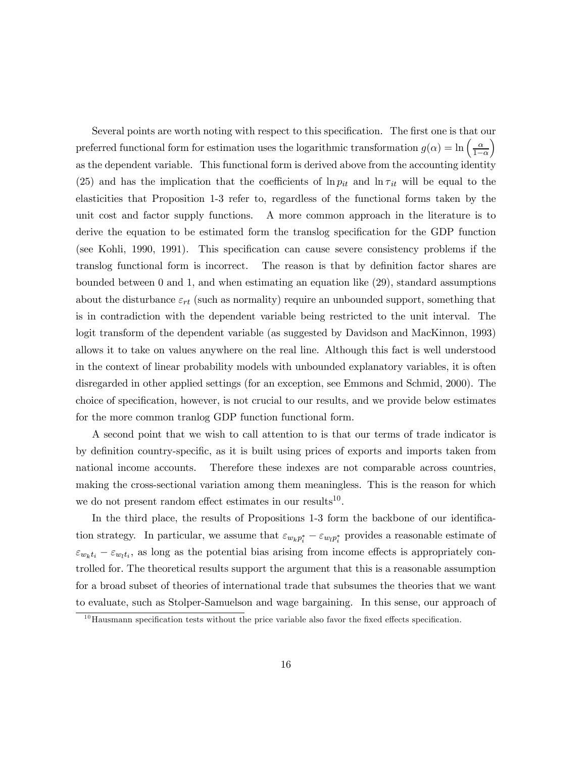Several points are worth noting with respect to this specification. The first one is that our preferred functional form for estimation uses the logarithmic transformation  $g(\alpha) = \ln \left( \frac{\alpha}{1-\alpha} \right)$ ´ as the dependent variable. This functional form is derived above from the accounting identity (25) and has the implication that the coefficients of  $\ln p_{it}$  and  $\ln \tau_{it}$  will be equal to the elasticities that Proposition 1-3 refer to, regardless of the functional forms taken by the unit cost and factor supply functions. A more common approach in the literature is to derive the equation to be estimated form the translog specification for the GDP function (see Kohli, 1990, 1991). This specification can cause severe consistency problems if the translog functional form is incorrect. The reason is that by definition factor shares are bounded between 0 and 1, and when estimating an equation like (29), standard assumptions about the disturbance  $\varepsilon_{rt}$  (such as normality) require an unbounded support, something that is in contradiction with the dependent variable being restricted to the unit interval. The logit transform of the dependent variable (as suggested by Davidson and MacKinnon, 1993) allows it to take on values anywhere on the real line. Although this fact is well understood in the context of linear probability models with unbounded explanatory variables, it is often disregarded in other applied settings (for an exception, see Emmons and Schmid, 2000). The choice of specification, however, is not crucial to our results, and we provide below estimates for the more common tranlog GDP function functional form.

A second point that we wish to call attention to is that our terms of trade indicator is by definition country-specific, as it is built using prices of exports and imports taken from national income accounts. Therefore these indexes are not comparable across countries, making the cross-sectional variation among them meaningless. This is the reason for which we do not present random effect estimates in our results<sup>10</sup>.

In the third place, the results of Propositions 1-3 form the backbone of our identification strategy. In particular, we assume that  $\varepsilon_{w_k p_i^*} - \varepsilon_{w_l p_i^*}$  provides a reasonable estimate of  $\varepsilon_{w_k t_i} - \varepsilon_{w_l t_i}$ , as long as the potential bias arising from income effects is appropriately controlled for. The theoretical results support the argument that this is a reasonable assumption for a broad subset of theories of international trade that subsumes the theories that we want to evaluate, such as Stolper-Samuelson and wage bargaining. In this sense, our approach of

 $10$  Hausmann specification tests without the price variable also favor the fixed effects specification.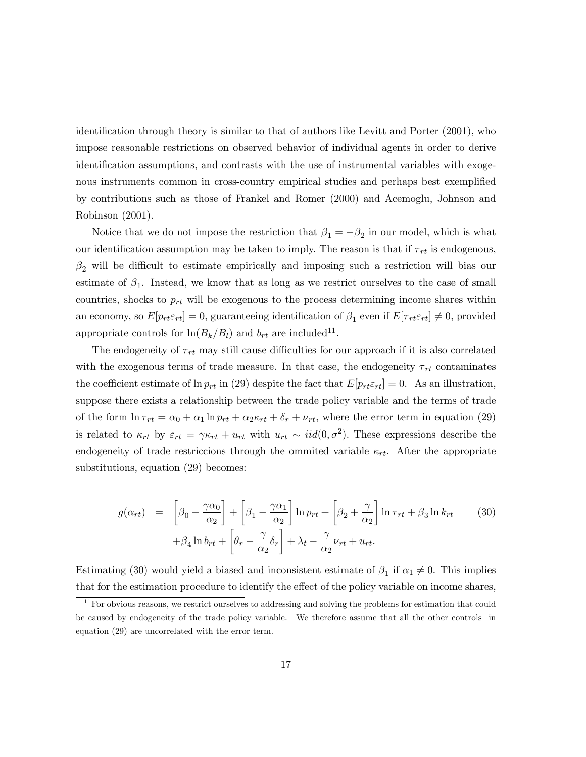identification through theory is similar to that of authors like Levitt and Porter (2001), who impose reasonable restrictions on observed behavior of individual agents in order to derive identification assumptions, and contrasts with the use of instrumental variables with exogenous instruments common in cross-country empirical studies and perhaps best exemplified by contributions such as those of Frankel and Romer (2000) and Acemoglu, Johnson and Robinson (2001).

Notice that we do not impose the restriction that  $\beta_1 = -\beta_2$  in our model, which is what our identification assumption may be taken to imply. The reason is that if  $\tau_{rt}$  is endogenous,  $\beta_2$  will be difficult to estimate empirically and imposing such a restriction will bias our estimate of  $\beta_1$ . Instead, we know that as long as we restrict ourselves to the case of small countries, shocks to  $p_{rt}$  will be exogenous to the process determining income shares within an economy, so  $E[p_{rt}\varepsilon_{rt}] = 0$ , guaranteeing identification of  $\beta_1$  even if  $E[\tau_{rt}\varepsilon_{rt}] \neq 0$ , provided appropriate controls for  $\ln(B_k/B_l)$  and  $b_{rt}$  are included<sup>11</sup>.

The endogeneity of  $\tau_{rt}$  may still cause difficulties for our approach if it is also correlated with the exogenous terms of trade measure. In that case, the endogeneity  $\tau_{rt}$  contaminates the coefficient estimate of  $\ln p_{rt}$  in (29) despite the fact that  $E[p_{rt}\varepsilon_{rt}]=0$ . As an illustration, suppose there exists a relationship between the trade policy variable and the terms of trade of the form  $\ln \tau_{rt} = \alpha_0 + \alpha_1 \ln p_{rt} + \alpha_2 \kappa_{rt} + \delta_r + \nu_{rt}$ , where the error term in equation (29) is related to  $\kappa_{rt}$  by  $\varepsilon_{rt} = \gamma \kappa_{rt} + u_{rt}$  with  $u_{rt} \sim iid(0, \sigma^2)$ . These expressions describe the endogeneity of trade restriccions through the ommited variable  $\kappa_{rt}$ . After the appropriate substitutions, equation (29) becomes:

$$
g(\alpha_{rt}) = \left[ \beta_0 - \frac{\gamma \alpha_0}{\alpha_2} \right] + \left[ \beta_1 - \frac{\gamma \alpha_1}{\alpha_2} \right] \ln p_{rt} + \left[ \beta_2 + \frac{\gamma}{\alpha_2} \right] \ln \tau_{rt} + \beta_3 \ln k_{rt} \qquad (30)
$$

$$
+ \beta_4 \ln b_{rt} + \left[ \theta_r - \frac{\gamma}{\alpha_2} \delta_r \right] + \lambda_t - \frac{\gamma}{\alpha_2} \nu_{rt} + u_{rt}.
$$

Estimating (30) would yield a biased and inconsistent estimate of  $\beta_1$  if  $\alpha_1 \neq 0$ . This implies that for the estimation procedure to identify the effect of the policy variable on income shares,

 $11$  For obvious reasons, we restrict ourselves to addressing and solving the problems for estimation that could be caused by endogeneity of the trade policy variable. We therefore assume that all the other controls in equation (29) are uncorrelated with the error term.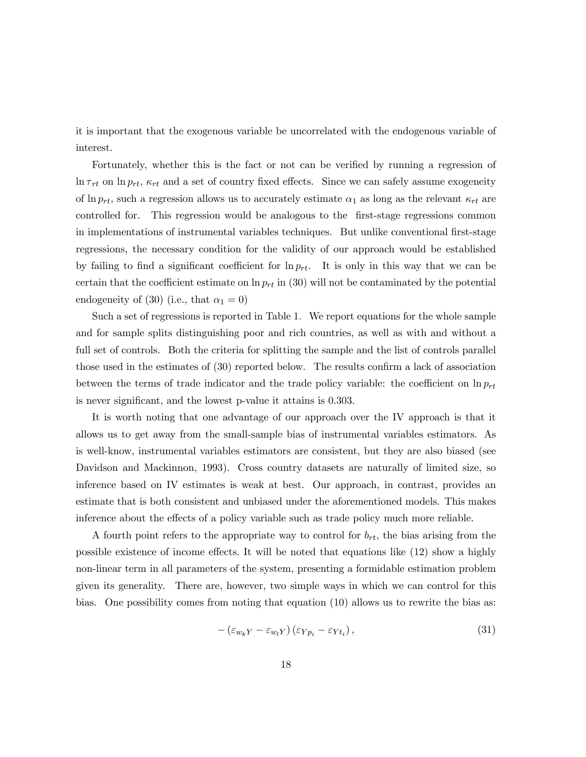it is important that the exogenous variable be uncorrelated with the endogenous variable of interest.

Fortunately, whether this is the fact or not can be verified by running a regression of  $\ln \tau_{rt}$  on  $\ln p_{rt}$ ,  $\kappa_{rt}$  and a set of country fixed effects. Since we can safely assume exogeneity of  $\ln p_{rt}$ , such a regression allows us to accurately estimate  $\alpha_1$  as long as the relevant  $\kappa_{rt}$  are controlled for. This regression would be analogous to the first-stage regressions common in implementations of instrumental variables techniques. But unlike conventional first-stage regressions, the necessary condition for the validity of our approach would be established by failing to find a significant coefficient for  $\ln p_{rt}$ . It is only in this way that we can be certain that the coefficient estimate on  $\ln p_{rt}$  in (30) will not be contaminated by the potential endogeneity of (30) (i.e., that  $\alpha_1 = 0$ )

Such a set of regressions is reported in Table 1. We report equations for the whole sample and for sample splits distinguishing poor and rich countries, as well as with and without a full set of controls. Both the criteria for splitting the sample and the list of controls parallel those used in the estimates of (30) reported below. The results confirm a lack of association between the terms of trade indicator and the trade policy variable: the coefficient on  $\ln p_{rt}$ is never significant, and the lowest p-value it attains is 0.303.

It is worth noting that one advantage of our approach over the IV approach is that it allows us to get away from the small-sample bias of instrumental variables estimators. As is well-know, instrumental variables estimators are consistent, but they are also biased (see Davidson and Mackinnon, 1993). Cross country datasets are naturally of limited size, so inference based on IV estimates is weak at best. Our approach, in contrast, provides an estimate that is both consistent and unbiased under the aforementioned models. This makes inference about the effects of a policy variable such as trade policy much more reliable.

A fourth point refers to the appropriate way to control for  $b_{rt}$ , the bias arising from the possible existence of income effects. It will be noted that equations like (12) show a highly non-linear term in all parameters of the system, presenting a formidable estimation problem given its generality. There are, however, two simple ways in which we can control for this bias. One possibility comes from noting that equation (10) allows us to rewrite the bias as:

$$
-\left(\varepsilon_{w_k Y} - \varepsilon_{w_l Y}\right)\left(\varepsilon_{Y p_i} - \varepsilon_{Y t_i}\right),\tag{31}
$$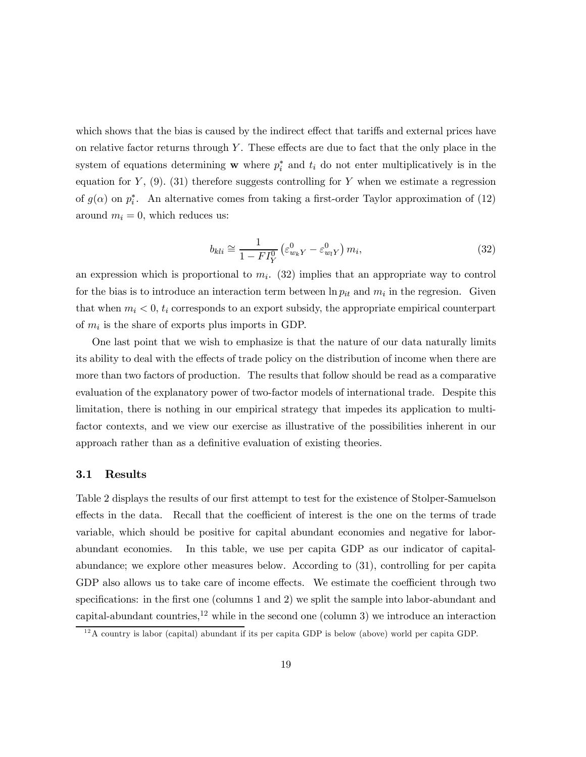which shows that the bias is caused by the indirect effect that tariffs and external prices have on relative factor returns through  $Y$ . These effects are due to fact that the only place in the system of equations determining w where  $p_i^*$  and  $t_i$  do not enter multiplicatively is in the equation for  $Y$ , (9). (31) therefore suggests controlling for Y when we estimate a regression of  $g(\alpha)$  on  $p_i^*$ . An alternative comes from taking a first-order Taylor approximation of (12) around  $m_i = 0$ , which reduces us:

$$
b_{kli} \cong \frac{1}{1 - FI_Y^0} \left(\varepsilon_{w_k Y}^0 - \varepsilon_{w_l Y}^0\right) m_i,\tag{32}
$$

an expression which is proportional to  $m_i$ . (32) implies that an appropriate way to control for the bias is to introduce an interaction term between  $\ln p_{it}$  and  $m_i$  in the regresion. Given that when  $m_i < 0$ ,  $t_i$  corresponds to an export subsidy, the appropriate empirical counterpart of  $m_i$  is the share of exports plus imports in GDP.

One last point that we wish to emphasize is that the nature of our data naturally limits its ability to deal with the effects of trade policy on the distribution of income when there are more than two factors of production. The results that follow should be read as a comparative evaluation of the explanatory power of two-factor models of international trade. Despite this limitation, there is nothing in our empirical strategy that impedes its application to multifactor contexts, and we view our exercise as illustrative of the possibilities inherent in our approach rather than as a definitive evaluation of existing theories.

#### 3.1 Results

Table 2 displays the results of our first attempt to test for the existence of Stolper-Samuelson effects in the data. Recall that the coefficient of interest is the one on the terms of trade variable, which should be positive for capital abundant economies and negative for laborabundant economies. In this table, we use per capita GDP as our indicator of capitalabundance; we explore other measures below. According to (31), controlling for per capita GDP also allows us to take care of income effects. We estimate the coefficient through two specifications: in the first one (columns 1 and 2) we split the sample into labor-abundant and capital-abundant countries,<sup>12</sup> while in the second one (column 3) we introduce an interaction

 $12A$  country is labor (capital) abundant if its per capita GDP is below (above) world per capita GDP.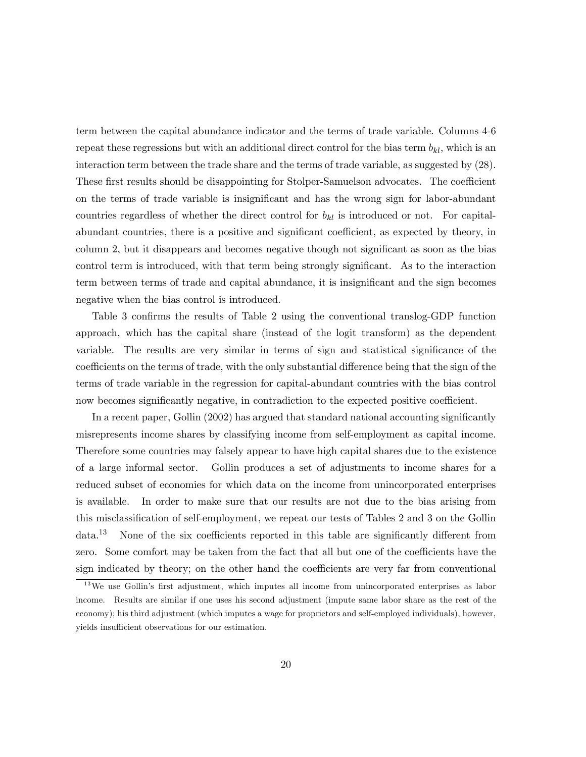term between the capital abundance indicator and the terms of trade variable. Columns 4-6 repeat these regressions but with an additional direct control for the bias term  $b_{kl}$ , which is an interaction term between the trade share and the terms of trade variable, as suggested by (28). These first results should be disappointing for Stolper-Samuelson advocates. The coefficient on the terms of trade variable is insignificant and has the wrong sign for labor-abundant countries regardless of whether the direct control for  $b_{kl}$  is introduced or not. For capitalabundant countries, there is a positive and significant coefficient, as expected by theory, in column 2, but it disappears and becomes negative though not significant as soon as the bias control term is introduced, with that term being strongly significant. As to the interaction term between terms of trade and capital abundance, it is insignificant and the sign becomes negative when the bias control is introduced.

Table 3 confirms the results of Table 2 using the conventional translog-GDP function approach, which has the capital share (instead of the logit transform) as the dependent variable. The results are very similar in terms of sign and statistical significance of the coefficients on the terms of trade, with the only substantial difference being that the sign of the terms of trade variable in the regression for capital-abundant countries with the bias control now becomes significantly negative, in contradiction to the expected positive coefficient.

In a recent paper, Gollin (2002) has argued that standard national accounting significantly misrepresents income shares by classifying income from self-employment as capital income. Therefore some countries may falsely appear to have high capital shares due to the existence of a large informal sector. Gollin produces a set of adjustments to income shares for a reduced subset of economies for which data on the income from unincorporated enterprises is available. In order to make sure that our results are not due to the bias arising from this misclassification of self-employment, we repeat our tests of Tables 2 and 3 on the Gollin  $data<sup>13</sup>$  None of the six coefficients reported in this table are significantly different from zero. Some comfort may be taken from the fact that all but one of the coefficients have the sign indicated by theory; on the other hand the coefficients are very far from conventional

<sup>&</sup>lt;sup>13</sup>We use Gollin's first adjustment, which imputes all income from unincorporated enterprises as labor income. Results are similar if one uses his second adjustment (impute same labor share as the rest of the economy); his third adjustment (which imputes a wage for proprietors and self-employed individuals), however, yields insufficient observations for our estimation.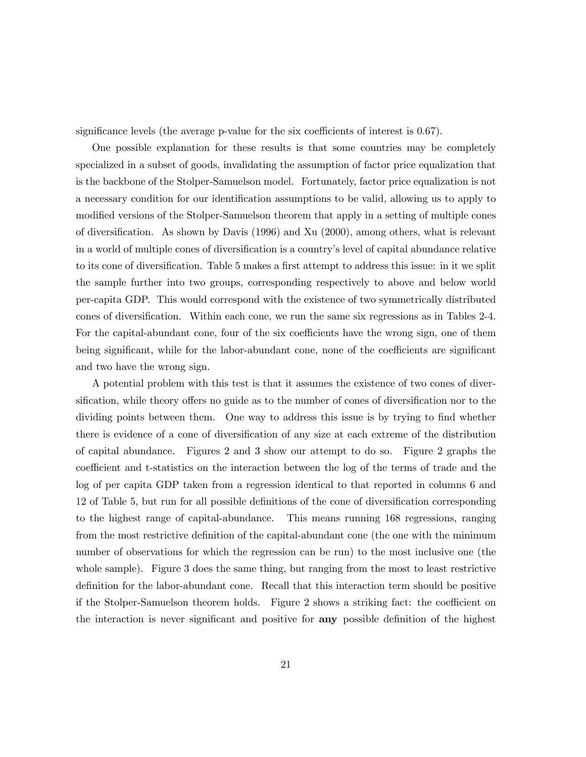significance levels (the average p-value for the six coefficients of interest is 0.67).

One possible explanation for these results is that some countries may be completely specialized in a subset of goods, invalidating the assumption of factor price equalization that is the backbone of the Stolper-Samuelson model. Fortunately, factor price equalization is not a necessary condition for our identification assumptions to be valid, allowing us to apply to modified versions of the Stolper-Samuelson theorem that apply in a setting of multiple cones of diversification. As shown by Davis (1996) and Xu (2000), among others, what is relevant in a world of multiple cones of diversification is a country's level of capital abundance relative to its cone of diversification. Table 5 makes a first attempt to address this issue: in it we split the sample further into two groups, corresponding respectively to above and below world per-capita GDP. This would correspond with the existence of two symmetrically distributed cones of diversification. Within each cone, we run the same six regressions as in Tables 2-4. For the capital-abundant cone, four of the six coefficients have the wrong sign, one of them being significant, while for the labor-abundant cone, none of the coefficients are significant and two have the wrong sign.

A potential problem with this test is that it assumes the existence of two cones of diversification, while theory offers no guide as to the number of cones of diversification nor to the dividing points between them. One way to address this issue is by trying to find whether there is evidence of a cone of diversification of any size at each extreme of the distribution of capital abundance. Figures 2 and 3 show our attempt to do so. Figure 2 graphs the coefficient and t-statistics on the interaction between the log of the terms of trade and the log of per capita GDP taken from a regression identical to that reported in columns 6 and 12 of Table 5, but run for all possible definitions of the cone of diversification corresponding to the highest range of capital-abundance. This means running 168 regressions, ranging from the most restrictive definition of the capital-abundant cone (the one with the minimum number of observations for which the regression can be run) to the most inclusive one (the whole sample). Figure 3 does the same thing, but ranging from the most to least restrictive definition for the labor-abundant cone. Recall that this interaction term should be positive if the Stolper-Samuelson theorem holds. Figure 2 shows a striking fact: the coefficient on the interaction is never significant and positive for any possible definition of the highest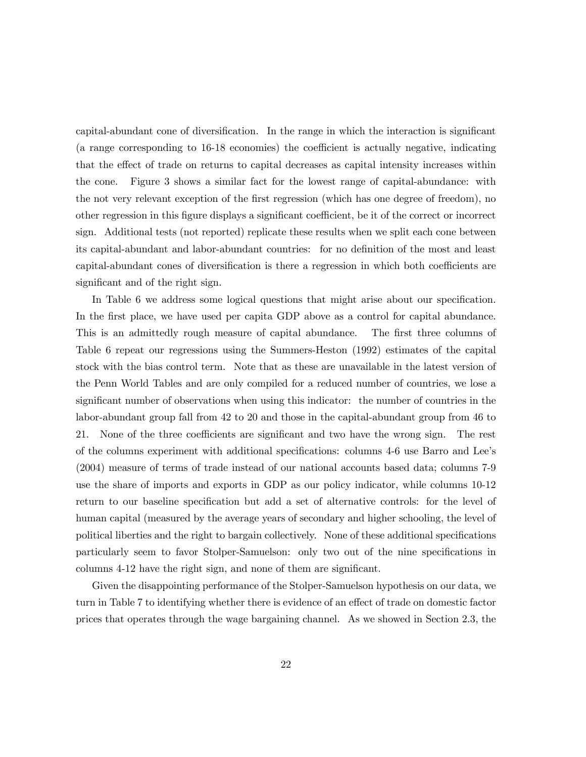capital-abundant cone of diversification. In the range in which the interaction is significant (a range corresponding to 16-18 economies) the coefficient is actually negative, indicating that the effect of trade on returns to capital decreases as capital intensity increases within the cone. Figure 3 shows a similar fact for the lowest range of capital-abundance: with the not very relevant exception of the first regression (which has one degree of freedom), no other regression in this figure displays a significant coefficient, be it of the correct or incorrect sign. Additional tests (not reported) replicate these results when we split each cone between its capital-abundant and labor-abundant countries: for no definition of the most and least capital-abundant cones of diversification is there a regression in which both coefficients are significant and of the right sign.

In Table 6 we address some logical questions that might arise about our specification. In the first place, we have used per capita GDP above as a control for capital abundance. This is an admittedly rough measure of capital abundance. The first three columns of Table 6 repeat our regressions using the Summers-Heston (1992) estimates of the capital stock with the bias control term. Note that as these are unavailable in the latest version of the Penn World Tables and are only compiled for a reduced number of countries, we lose a significant number of observations when using this indicator: the number of countries in the labor-abundant group fall from 42 to 20 and those in the capital-abundant group from 46 to 21. None of the three coefficients are significant and two have the wrong sign. The rest of the columns experiment with additional specifications: columns 4-6 use Barro and Lee's (2004) measure of terms of trade instead of our national accounts based data; columns 7-9 use the share of imports and exports in GDP as our policy indicator, while columns 10-12 return to our baseline specification but add a set of alternative controls: for the level of human capital (measured by the average years of secondary and higher schooling, the level of political liberties and the right to bargain collectively. None of these additional specifications particularly seem to favor Stolper-Samuelson: only two out of the nine specifications in columns 4-12 have the right sign, and none of them are significant.

Given the disappointing performance of the Stolper-Samuelson hypothesis on our data, we turn in Table 7 to identifying whether there is evidence of an effect of trade on domestic factor prices that operates through the wage bargaining channel. As we showed in Section 2.3, the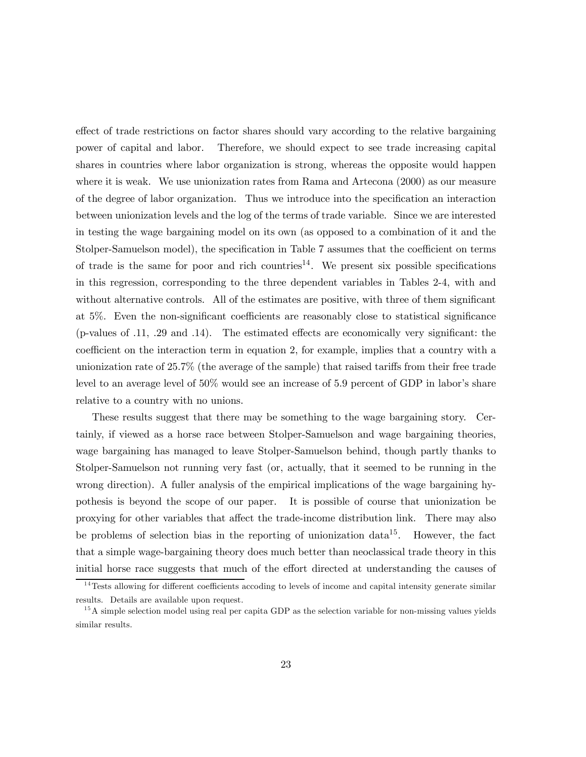effect of trade restrictions on factor shares should vary according to the relative bargaining power of capital and labor. Therefore, we should expect to see trade increasing capital shares in countries where labor organization is strong, whereas the opposite would happen where it is weak. We use unionization rates from Rama and Artecona (2000) as our measure of the degree of labor organization. Thus we introduce into the specification an interaction between unionization levels and the log of the terms of trade variable. Since we are interested in testing the wage bargaining model on its own (as opposed to a combination of it and the Stolper-Samuelson model), the specification in Table 7 assumes that the coefficient on terms of trade is the same for poor and rich countries<sup>14</sup>. We present six possible specifications in this regression, corresponding to the three dependent variables in Tables 2-4, with and without alternative controls. All of the estimates are positive, with three of them significant at 5%. Even the non-significant coefficients are reasonably close to statistical significance (p-values of .11, .29 and .14). The estimated effects are economically very significant: the coefficient on the interaction term in equation 2, for example, implies that a country with a unionization rate of 25.7% (the average of the sample) that raised tariffs from their free trade level to an average level of 50% would see an increase of 5.9 percent of GDP in labor's share relative to a country with no unions.

These results suggest that there may be something to the wage bargaining story. Certainly, if viewed as a horse race between Stolper-Samuelson and wage bargaining theories, wage bargaining has managed to leave Stolper-Samuelson behind, though partly thanks to Stolper-Samuelson not running very fast (or, actually, that it seemed to be running in the wrong direction). A fuller analysis of the empirical implications of the wage bargaining hypothesis is beyond the scope of our paper. It is possible of course that unionization be proxying for other variables that affect the trade-income distribution link. There may also be problems of selection bias in the reporting of unionization data<sup>15</sup>. However, the fact that a simple wage-bargaining theory does much better than neoclassical trade theory in this initial horse race suggests that much of the effort directed at understanding the causes of

 $14$ Tests allowing for different coefficients accoding to levels of income and capital intensity generate similar results. Details are available upon request.

<sup>&</sup>lt;sup>15</sup>A simple selection model using real per capita GDP as the selection variable for non-missing values yields similar results.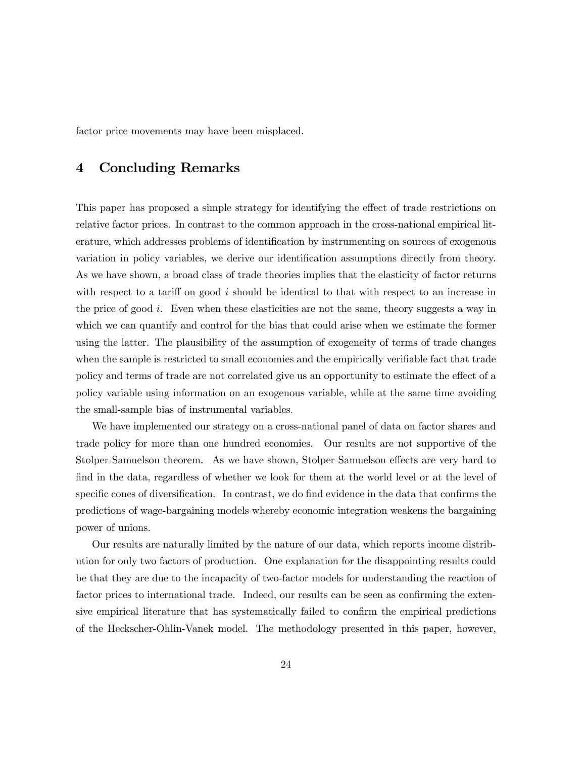factor price movements may have been misplaced.

## 4 Concluding Remarks

This paper has proposed a simple strategy for identifying the effect of trade restrictions on relative factor prices. In contrast to the common approach in the cross-national empirical literature, which addresses problems of identification by instrumenting on sources of exogenous variation in policy variables, we derive our identification assumptions directly from theory. As we have shown, a broad class of trade theories implies that the elasticity of factor returns with respect to a tariff on good  $i$  should be identical to that with respect to an increase in the price of good  $i$ . Even when these elasticities are not the same, theory suggests a way in which we can quantify and control for the bias that could arise when we estimate the former using the latter. The plausibility of the assumption of exogeneity of terms of trade changes when the sample is restricted to small economies and the empirically verifiable fact that trade policy and terms of trade are not correlated give us an opportunity to estimate the effect of a policy variable using information on an exogenous variable, while at the same time avoiding the small-sample bias of instrumental variables.

We have implemented our strategy on a cross-national panel of data on factor shares and trade policy for more than one hundred economies. Our results are not supportive of the Stolper-Samuelson theorem. As we have shown, Stolper-Samuelson effects are very hard to find in the data, regardless of whether we look for them at the world level or at the level of specific cones of diversification. In contrast, we do find evidence in the data that confirms the predictions of wage-bargaining models whereby economic integration weakens the bargaining power of unions.

Our results are naturally limited by the nature of our data, which reports income distribution for only two factors of production. One explanation for the disappointing results could be that they are due to the incapacity of two-factor models for understanding the reaction of factor prices to international trade. Indeed, our results can be seen as confirming the extensive empirical literature that has systematically failed to confirm the empirical predictions of the Heckscher-Ohlin-Vanek model. The methodology presented in this paper, however,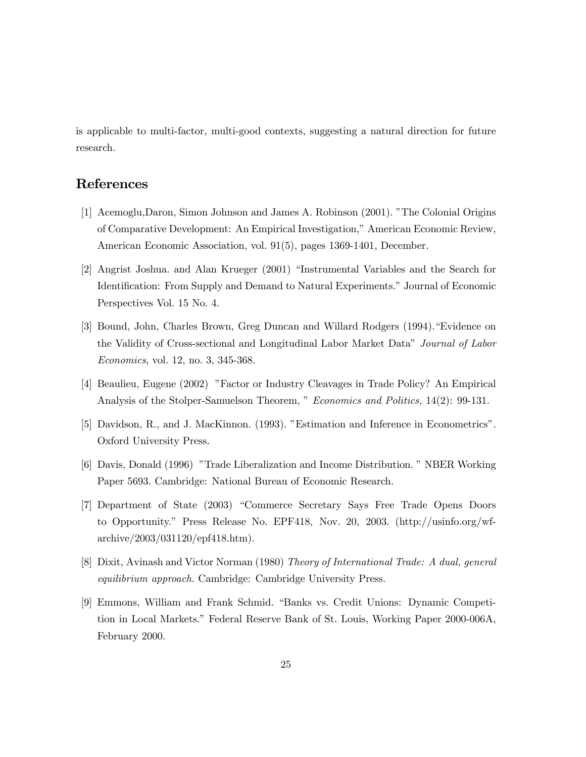is applicable to multi-factor, multi-good contexts, suggesting a natural direction for future research.

## References

- [1] Acemoglu,Daron, Simon Johnson and James A. Robinson (2001). "The Colonial Origins of Comparative Development: An Empirical Investigation," American Economic Review, American Economic Association, vol. 91(5), pages 1369-1401, December.
- [2] Angrist Joshua. and Alan Krueger (2001) "Instrumental Variables and the Search for Identification: From Supply and Demand to Natural Experiments." Journal of Economic Perspectives Vol. 15 No. 4.
- [3] Bound, John, Charles Brown, Greg Duncan and Willard Rodgers (1994)."Evidence on the Validity of Cross-sectional and Longitudinal Labor Market Data" Journal of Labor Economics, vol. 12, no. 3, 345-368.
- [4] Beaulieu, Eugene (2002) "Factor or Industry Cleavages in Trade Policy? An Empirical Analysis of the Stolper-Samuelson Theorem, " Economics and Politics, 14(2): 99-131.
- [5] Davidson, R., and J. MacKinnon. (1993). "Estimation and Inference in Econometrics". Oxford University Press.
- [6] Davis, Donald (1996) "Trade Liberalization and Income Distribution. " NBER Working Paper 5693. Cambridge: National Bureau of Economic Research.
- [7] Department of State (2003) "Commerce Secretary Says Free Trade Opens Doors to Opportunity." Press Release No. EPF418, Nov. 20, 2003. (http://usinfo.org/wfarchive/2003/031120/epf418.htm).
- [8] Dixit, Avinash and Victor Norman (1980) Theory of International Trade: A dual, general equilibrium approach. Cambridge: Cambridge University Press.
- [9] Emmons, William and Frank Schmid. "Banks vs. Credit Unions: Dynamic Competition in Local Markets." Federal Reserve Bank of St. Louis, Working Paper 2000-006A, February 2000.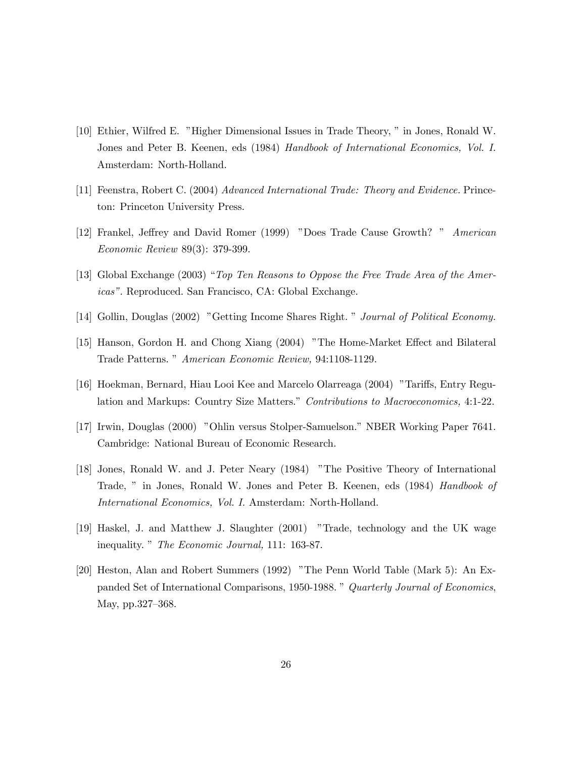- [10] Ethier, Wilfred E. "Higher Dimensional Issues in Trade Theory, " in Jones, Ronald W. Jones and Peter B. Keenen, eds (1984) Handbook of International Economics, Vol. I. Amsterdam: North-Holland.
- [11] Feenstra, Robert C. (2004) Advanced International Trade: Theory and Evidence. Princeton: Princeton University Press.
- [12] Frankel, Jeffrey and David Romer (1999) "Does Trade Cause Growth? " American Economic Review 89(3): 379-399.
- [13] Global Exchange (2003) "Top Ten Reasons to Oppose the Free Trade Area of the Americas". Reproduced. San Francisco, CA: Global Exchange.
- [14] Gollin, Douglas (2002) "Getting Income Shares Right. " Journal of Political Economy.
- [15] Hanson, Gordon H. and Chong Xiang (2004) "The Home-Market Effect and Bilateral Trade Patterns. " American Economic Review, 94:1108-1129.
- [16] Hoekman, Bernard, Hiau Looi Kee and Marcelo Olarreaga (2004) "Tariffs, Entry Regulation and Markups: Country Size Matters." Contributions to Macroeconomics, 4:1-22.
- [17] Irwin, Douglas (2000) "Ohlin versus Stolper-Samuelson." NBER Working Paper 7641. Cambridge: National Bureau of Economic Research.
- [18] Jones, Ronald W. and J. Peter Neary (1984) "The Positive Theory of International Trade, " in Jones, Ronald W. Jones and Peter B. Keenen, eds (1984) Handbook of International Economics, Vol. I. Amsterdam: North-Holland.
- [19] Haskel, J. and Matthew J. Slaughter (2001) "Trade, technology and the UK wage inequality. " The Economic Journal, 111: 163-87.
- [20] Heston, Alan and Robert Summers (1992) "The Penn World Table (Mark 5): An Expanded Set of International Comparisons, 1950-1988. " Quarterly Journal of Economics, May, pp.327—368.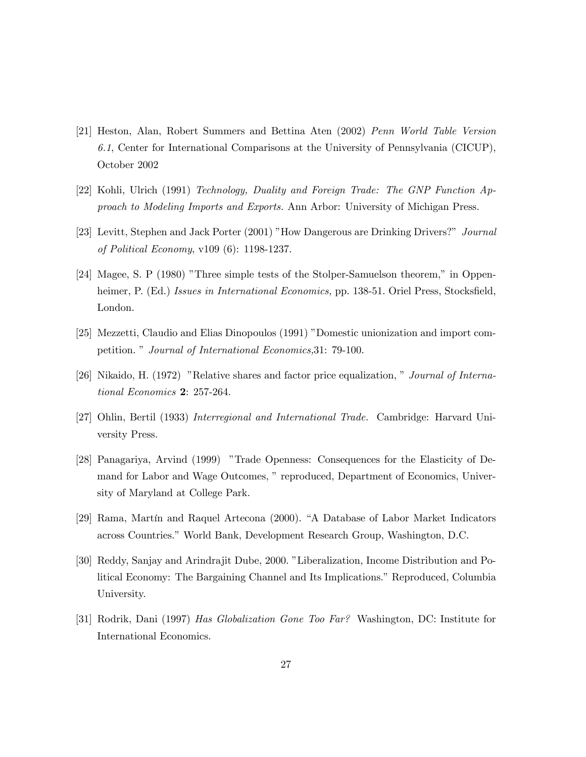- [21] Heston, Alan, Robert Summers and Bettina Aten (2002) Penn World Table Version 6.1, Center for International Comparisons at the University of Pennsylvania (CICUP), October 2002
- [22] Kohli, Ulrich (1991) Technology, Duality and Foreign Trade: The GNP Function Approach to Modeling Imports and Exports. Ann Arbor: University of Michigan Press.
- [23] Levitt, Stephen and Jack Porter (2001) "How Dangerous are Drinking Drivers?" Journal of Political Economy, v109 (6): 1198-1237.
- [24] Magee, S. P (1980) "Three simple tests of the Stolper-Samuelson theorem," in Oppenheimer, P. (Ed.) Issues in International Economics, pp. 138-51. Oriel Press, Stocksfield, London.
- [25] Mezzetti, Claudio and Elias Dinopoulos (1991) "Domestic unionization and import competition. " Journal of International Economics,31: 79-100.
- [26] Nikaido, H. (1972) "Relative shares and factor price equalization, " Journal of International Economics 2: 257-264.
- [27] Ohlin, Bertil (1933) Interregional and International Trade. Cambridge: Harvard University Press.
- [28] Panagariya, Arvind (1999) "Trade Openness: Consequences for the Elasticity of Demand for Labor and Wage Outcomes, " reproduced, Department of Economics, University of Maryland at College Park.
- [29] Rama, Martín and Raquel Artecona (2000). "A Database of Labor Market Indicators across Countries." World Bank, Development Research Group, Washington, D.C.
- [30] Reddy, Sanjay and Arindrajit Dube, 2000. "Liberalization, Income Distribution and Political Economy: The Bargaining Channel and Its Implications." Reproduced, Columbia University.
- [31] Rodrik, Dani (1997) Has Globalization Gone Too Far? Washington, DC: Institute for International Economics.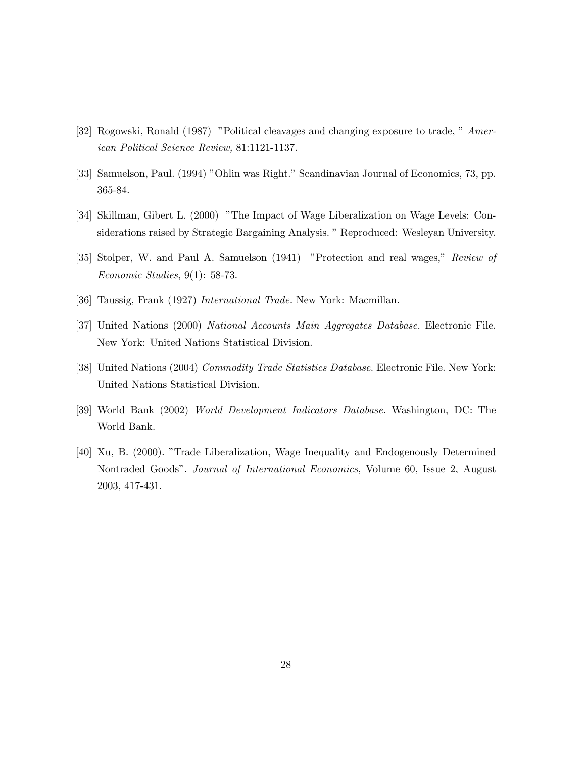- [32] Rogowski, Ronald (1987) "Political cleavages and changing exposure to trade, " American Political Science Review, 81:1121-1137.
- [33] Samuelson, Paul. (1994) "Ohlin was Right." Scandinavian Journal of Economics, 73, pp. 365-84.
- [34] Skillman, Gibert L. (2000) "The Impact of Wage Liberalization on Wage Levels: Considerations raised by Strategic Bargaining Analysis. " Reproduced: Wesleyan University.
- [35] Stolper, W. and Paul A. Samuelson (1941) "Protection and real wages," Review of Economic Studies, 9(1): 58-73.
- [36] Taussig, Frank (1927) International Trade. New York: Macmillan.
- [37] United Nations (2000) National Accounts Main Aggregates Database. Electronic File. New York: United Nations Statistical Division.
- [38] United Nations (2004) Commodity Trade Statistics Database. Electronic File. New York: United Nations Statistical Division.
- [39] World Bank (2002) World Development Indicators Database. Washington, DC: The World Bank.
- [40] Xu, B. (2000). "Trade Liberalization, Wage Inequality and Endogenously Determined Nontraded Goods". Journal of International Economics, Volume 60, Issue 2, August 2003, 417-431.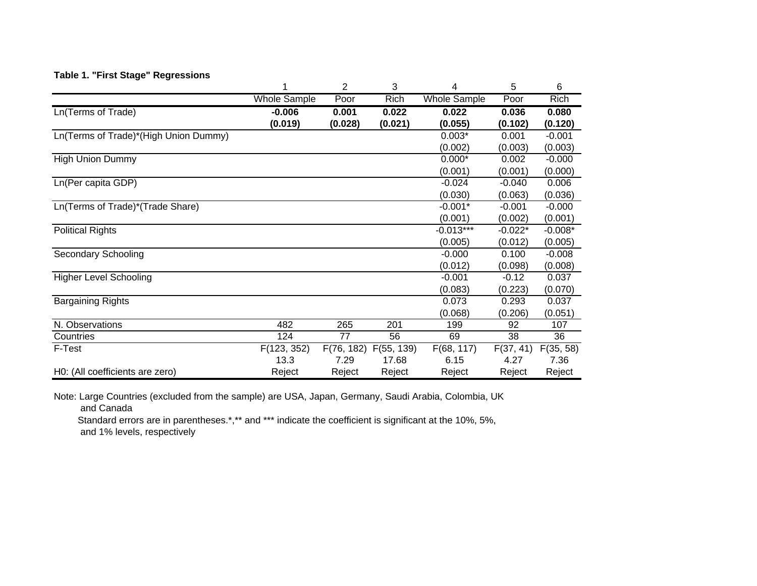## **Table 1. "First Stage" Regressions**

|                                       |                     | $\overline{2}$ | 3          | 4                   | 5         | 6           |
|---------------------------------------|---------------------|----------------|------------|---------------------|-----------|-------------|
|                                       | <b>Whole Sample</b> | Poor           | Rich       | <b>Whole Sample</b> | Poor      | <b>Rich</b> |
| Ln(Terms of Trade)                    | $-0.006$            | 0.001          | 0.022      | 0.022               | 0.036     | 0.080       |
|                                       | (0.019)             | (0.028)        | (0.021)    | (0.055)             | (0.102)   | (0.120)     |
| Ln(Terms of Trade)*(High Union Dummy) |                     |                |            | $0.003*$            | 0.001     | $-0.001$    |
|                                       |                     |                |            | (0.002)             | (0.003)   | (0.003)     |
| <b>High Union Dummy</b>               |                     |                |            | $0.000*$            | 0.002     | $-0.000$    |
|                                       |                     |                |            | (0.001)             | (0.001)   | (0.000)     |
| Ln(Per capita GDP)                    |                     |                |            | $-0.024$            | $-0.040$  | 0.006       |
|                                       |                     |                |            | (0.030)             | (0.063)   | (0.036)     |
| Ln(Terms of Trade)*(Trade Share)      |                     |                |            | $-0.001*$           | $-0.001$  | $-0.000$    |
|                                       |                     |                |            | (0.001)             | (0.002)   | (0.001)     |
| <b>Political Rights</b>               |                     |                |            | $-0.013***$         | $-0.022*$ | $-0.008*$   |
|                                       |                     |                |            | (0.005)             | (0.012)   | (0.005)     |
| <b>Secondary Schooling</b>            |                     |                |            | $-0.000$            | 0.100     | $-0.008$    |
|                                       |                     |                |            | (0.012)             | (0.098)   | (0.008)     |
| <b>Higher Level Schooling</b>         |                     |                |            | $-0.001$            | $-0.12$   | 0.037       |
|                                       |                     |                |            | (0.083)             | (0.223)   | (0.070)     |
| <b>Bargaining Rights</b>              |                     |                |            | 0.073               | 0.293     | 0.037       |
|                                       |                     |                |            | (0.068)             | (0.206)   | (0.051)     |
| N. Observations                       | 482                 | 265            | 201        | 199                 | 92        | 107         |
| Countries                             | 124                 | 77             | 56         | 69                  | 38        | 36          |
| F-Test                                | F(123, 352)         | F(76, 182)     | F(55, 139) | F(68, 117)          | F(37, 41) | F(35, 58)   |
|                                       | 13.3                | 7.29           | 17.68      | 6.15                | 4.27      | 7.36        |
| H0: (All coefficients are zero)       | Reject              | Reject         | Reject     | Reject              | Reject    | Reject      |

Note: Large Countries (excluded from the sample) are USA, Japan, Germany, Saudi Arabia, Colombia, UK and Canada

Standard errors are in parentheses.\*,\*\* and \*\*\* indicate the coefficient is significant at the 10%, 5%,

and 1% levels, respectively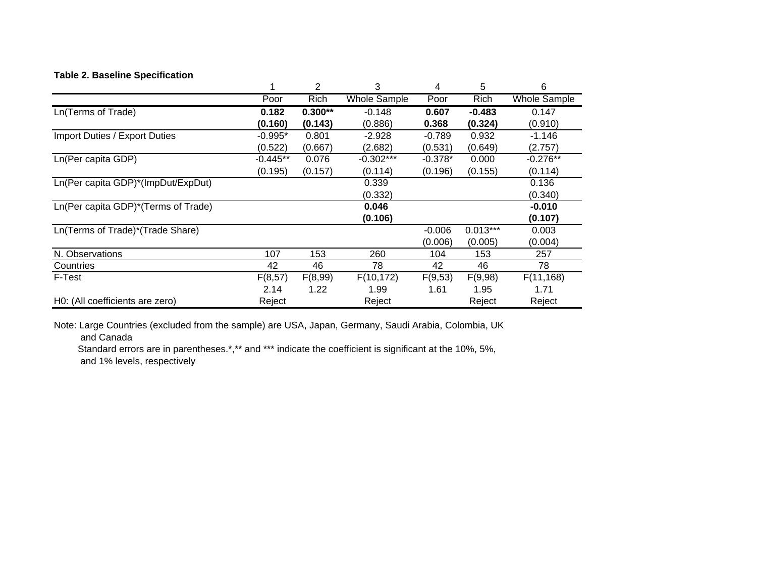#### **Table 2. Baseline Specification**

|                                     |            | 2         | 3                   | 4         | 5          | 6                   |
|-------------------------------------|------------|-----------|---------------------|-----------|------------|---------------------|
|                                     | Poor       | Rich      | <b>Whole Sample</b> | Poor      | Rich       | <b>Whole Sample</b> |
| Ln(Terms of Trade)                  | 0.182      | $0.300**$ | $-0.148$            | 0.607     | $-0.483$   | 0.147               |
|                                     | (0.160)    | (0.143)   | (0.886)             | 0.368     | (0.324)    | (0.910)             |
| Import Duties / Export Duties       | $-0.995*$  | 0.801     | $-2.928$            | $-0.789$  | 0.932      | $-1.146$            |
|                                     | (0.522)    | (0.667)   | (2.682)             | (0.531)   | (0.649)    | (2.757)             |
| Ln(Per capita GDP)                  | $-0.445**$ | 0.076     | $-0.302***$         | $-0.378*$ | 0.000      | $-0.276**$          |
|                                     | (0.195)    | (0.157)   | (0.114)             | (0.196)   | (0.155)    | (0.114)             |
| Ln(Per capita GDP)*(ImpDut/ExpDut)  |            |           | 0.339               |           |            | 0.136               |
|                                     |            |           | (0.332)             |           |            | (0.340)             |
| Ln(Per capita GDP)*(Terms of Trade) |            |           | 0.046               |           |            | $-0.010$            |
|                                     |            |           | (0.106)             |           |            | (0.107)             |
| Ln(Terms of Trade)*(Trade Share)    |            |           |                     | $-0.006$  | $0.013***$ | 0.003               |
|                                     |            |           |                     | (0.006)   | (0.005)    | (0.004)             |
| N. Observations                     | 107        | 153       | 260                 | 104       | 153        | 257                 |
| Countries                           | 42         | 46        | 78                  | 42        | 46         | 78                  |
| F-Test                              | F(8,57)    | F(8,99)   | F(10, 172)          | F(9,53)   | F(9,98)    | F(11,168)           |
|                                     | 2.14       | 1.22      | 1.99                | 1.61      | 1.95       | 1.71                |
| H0: (All coefficients are zero)     | Reject     |           | Reject              |           | Reject     | Reject              |

Note: Large Countries (excluded from the sample) are USA, Japan, Germany, Saudi Arabia, Colombia, UK and Canada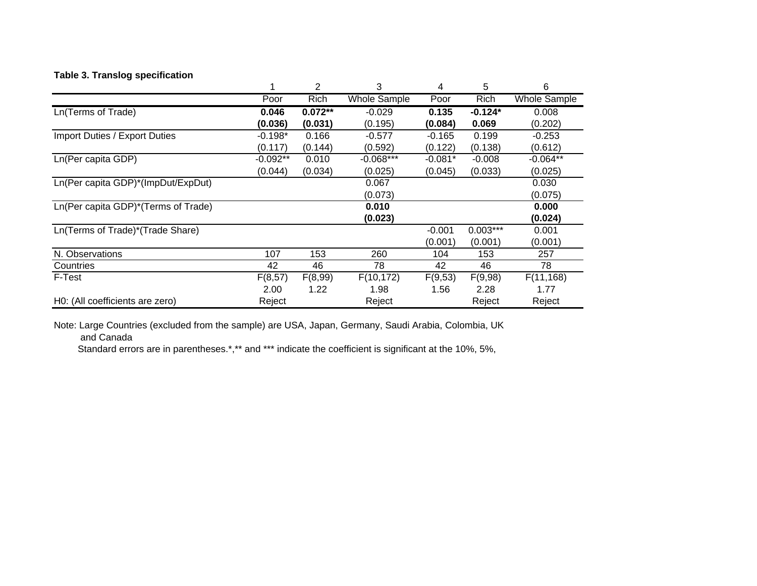## **Table 3. Translog specification**

|                                     |            | 2         | 3                   | 4         | 5          | 6                   |
|-------------------------------------|------------|-----------|---------------------|-----------|------------|---------------------|
|                                     | Poor       | Rich      | <b>Whole Sample</b> | Poor      | Rich       | <b>Whole Sample</b> |
| Ln(Terms of Trade)                  | 0.046      | $0.072**$ | $-0.029$            | 0.135     | $-0.124*$  | 0.008               |
|                                     | (0.036)    | (0.031)   | (0.195)             | (0.084)   | 0.069      | (0.202)             |
| Import Duties / Export Duties       | $-0.198*$  | 0.166     | $-0.577$            | $-0.165$  | 0.199      | $-0.253$            |
|                                     | (0.117)    | (0.144)   | (0.592)             | (0.122)   | (0.138)    | (0.612)             |
| Ln(Per capita GDP)                  | $-0.092**$ | 0.010     | $-0.068***$         | $-0.081*$ | $-0.008$   | $-0.064**$          |
|                                     | (0.044)    | (0.034)   | (0.025)             | (0.045)   | (0.033)    | (0.025)             |
| Ln(Per capita GDP)*(ImpDut/ExpDut)  |            |           | 0.067               |           |            | 0.030               |
|                                     |            |           | (0.073)             |           |            | (0.075)             |
| Ln(Per capita GDP)*(Terms of Trade) |            |           | 0.010               |           |            | 0.000               |
|                                     |            |           | (0.023)             |           |            | (0.024)             |
| Ln(Terms of Trade)*(Trade Share)    |            |           |                     | $-0.001$  | $0.003***$ | 0.001               |
|                                     |            |           |                     | (0.001)   | (0.001)    | (0.001)             |
| N. Observations                     | 107        | 153       | 260                 | 104       | 153        | 257                 |
| Countries                           | 42         | 46        | 78                  | 42        | 46         | 78                  |
| F-Test                              | F(8,57)    | F(8,99)   | F(10, 172)          | F(9,53)   | F(9,98)    | F(11,168)           |
|                                     | 2.00       | 1.22      | 1.98                | 1.56      | 2.28       | 1.77                |
| H0: (All coefficients are zero)     | Reject     |           | Reject              |           | Reject     | Reject              |

Note: Large Countries (excluded from the sample) are USA, Japan, Germany, Saudi Arabia, Colombia, UK and Canada

Standard errors are in parentheses.\*,\*\* and \*\*\* indicate the coefficient is significant at the 10%, 5%,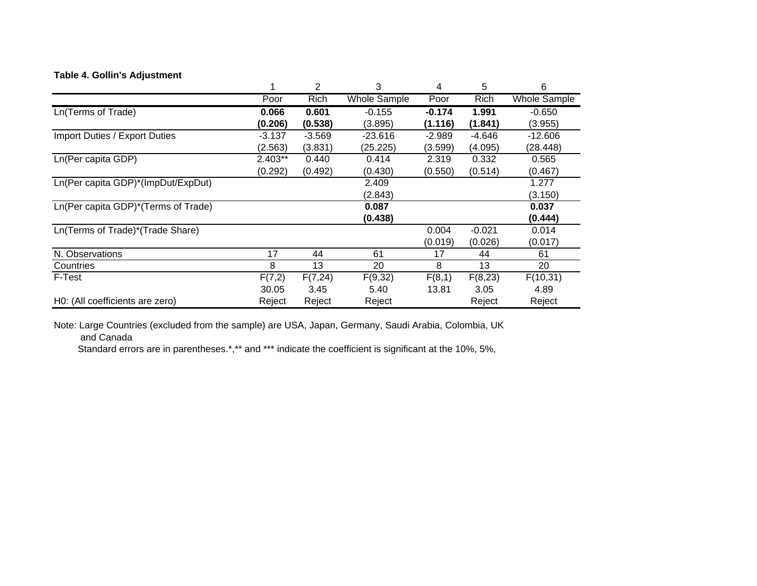#### **Table 4. Gollin's Adjustment**

|                                     |          | 2           | 3                   | 4        | 5        | 6                   |
|-------------------------------------|----------|-------------|---------------------|----------|----------|---------------------|
|                                     | Poor     | <b>Rich</b> | <b>Whole Sample</b> | Poor     | Rich     | <b>Whole Sample</b> |
| Ln(Terms of Trade)                  | 0.066    | 0.601       | $-0.155$            | $-0.174$ | 1.991    | $-0.650$            |
|                                     | (0.206)  | (0.538)     | (3.895)             | (1.116)  | (1.841)  | (3.955)             |
| Import Duties / Export Duties       | $-3.137$ | $-3.569$    | $-23.616$           | $-2.989$ | $-4.646$ | $-12.606$           |
|                                     | (2.563)  | (3.831)     | (25.225)            | (3.599)  | (4.095)  | (28.448)            |
| Ln(Per capita GDP)                  | 2.403**  | 0.440       | 0.414               | 2.319    | 0.332    | 0.565               |
|                                     | (0.292)  | (0.492)     | (0.430)             | (0.550)  | (0.514)  | (0.467)             |
| Ln(Per capita GDP)*(ImpDut/ExpDut)  |          |             | 2.409               |          |          | 1.277               |
|                                     |          |             | (2.843)             |          |          | (3.150)             |
| Ln(Per capita GDP)*(Terms of Trade) |          |             | 0.087               |          |          | 0.037               |
|                                     |          |             | (0.438)             |          |          | (0.444)             |
| Ln(Terms of Trade)*(Trade Share)    |          |             |                     | 0.004    | $-0.021$ | 0.014               |
|                                     |          |             |                     | (0.019)  | (0.026)  | (0.017)             |
| N. Observations                     | 17       | 44          | 61                  | 17       | 44       | 61                  |
| Countries                           | 8        | 13          | 20                  | 8        | 13       | 20                  |
| F-Test                              | F(7,2)   | F(7,24)     | F(9,32)             | F(8,1)   | F(8,23)  | F(10,31)            |
|                                     | 30.05    | 3.45        | 5.40                | 13.81    | 3.05     | 4.89                |
| H0: (All coefficients are zero)     | Reject   | Reject      | Reject              |          | Reject   | Reject              |

Note: Large Countries (excluded from the sample) are USA, Japan, Germany, Saudi Arabia, Colombia, UK and Canada

Standard errors are in parentheses.\*,\*\* and \*\*\* indicate the coefficient is significant at the 10%, 5%,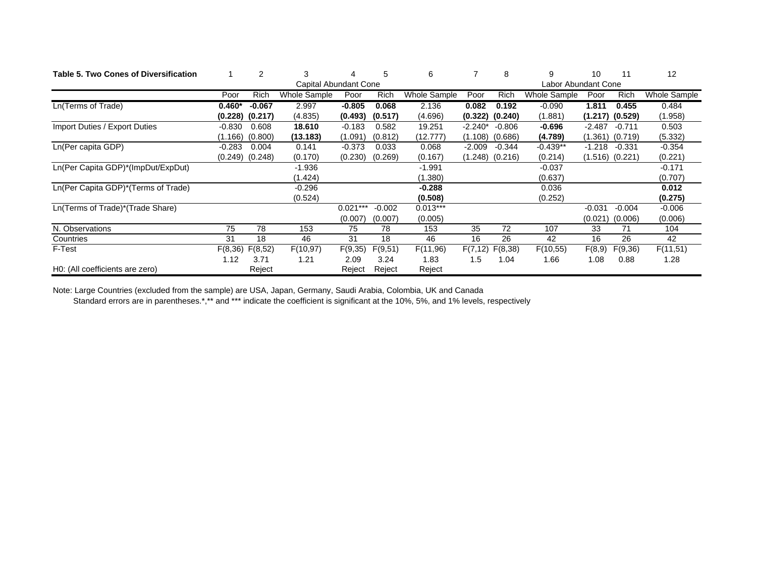| Table 5. Two Cones of Diversification |          | $\overline{2}$        |              |            | 5        | 6            |           | 8                   | 9            | 10       | 11                  | 12           |
|---------------------------------------|----------|-----------------------|--------------|------------|----------|--------------|-----------|---------------------|--------------|----------|---------------------|--------------|
|                                       |          | Capital Abundant Cone |              |            |          |              |           | Labor Abundant Cone |              |          |                     |              |
|                                       | Poor     | Rich                  | Whole Sample | Poor       | Rich     | Whole Sample | Poor      | Rich                | Whole Sample | Poor     | Rich                | Whole Sample |
| Ln(Terms of Trade)                    | $0.460*$ | $-0.067$              | 2.997        | $-0.805$   | 0.068    | 2.136        | 0.082     | 0.192               | $-0.090$     | 1.811    | 0.455               | 0.484        |
|                                       | (0.228)  | (0.217)               | (4.835)      | (0.493)    | (0.517)  | (4.696)      | (0.322)   | (0.240)             | (1.881)      | (1.217)  | (0.529)             | (1.958)      |
| Import Duties / Export Duties         | $-0.830$ | 0.608                 | 18.610       | $-0.183$   | 0.582    | 19.251       | $-2.240*$ | $-0.806$            | $-0.696$     | $-2.487$ | $-0.711$            | 0.503        |
|                                       | (1.166)  | (0.800)               | (13.183)     | (1.091)    | (0.812)  | (12.777)     | (1.108)   | (0.686)             | (4.789)      | (1.361)  | (0.719)             | (5.332)      |
| Ln(Per capita GDP)                    | $-0.283$ | 0.004                 | 0.141        | $-0.373$   | 0.033    | 0.068        | $-2.009$  | -0.344              | $-0.439**$   | $-1.218$ | $-0.331$            | $-0.354$     |
|                                       |          | $(0.249)$ $(0.248)$   | (0.170)      | (0.230)    | (0.269)  | (0.167)      |           | $(1.248)$ $(0.216)$ | (0.214)      |          | $(1.516)$ $(0.221)$ | (0.221)      |
| Ln(Per Capita GDP)*(ImpDut/ExpDut)    |          |                       | $-1.936$     |            |          | $-1.991$     |           |                     | $-0.037$     |          |                     | $-0.171$     |
|                                       |          |                       | (1.424)      |            |          | (1.380)      |           |                     | (0.637)      |          |                     | (0.707)      |
| Ln(Per Capita GDP)*(Terms of Trade)   |          |                       | $-0.296$     |            |          | $-0.288$     |           |                     | 0.036        |          |                     | 0.012        |
|                                       |          |                       | (0.524)      |            |          | (0.508)      |           |                     | (0.252)      |          |                     | (0.275)      |
| Ln(Terms of Trade)*(Trade Share)      |          |                       |              | $0.021***$ | $-0.002$ | $0.013***$   |           |                     |              | $-0.031$ | $-0.004$            | $-0.006$     |
|                                       |          |                       |              | (0.007)    | (0.007)  | (0.005)      |           |                     |              | (0.021)  | (0.006)             | (0.006)      |
| N. Observations                       | 75       | 78                    | 153          | 75         | 78       | 153          | 35        | 72                  | 107          | 33       | 71                  | 104          |
| Countries                             | 31       | 18                    | 46           | 31         | 18       | 46           | 16        | 26                  | 42           | 16       | 26                  | 42           |
| F-Test                                | F(8, 36) | F(8,52)               | F(10, 97)    | F(9,35)    | F(9,51)  | F(11,96)     | F(7, 12)  | F(8, 38)            | F(10,55)     | F(8,9)   | F(9,36)             | F(11,51)     |
|                                       | 1.12     | 3.71                  | 1.21         | 2.09       | 3.24     | 1.83         | 1.5       | 1.04                | 1.66         | 1.08     | 0.88                | 1.28         |
| H0: (All coefficients are zero)       |          | Reject                |              | Reject     | Reject   | Reject       |           |                     |              |          |                     |              |

Note: Large Countries (excluded from the sample) are USA, Japan, Germany, Saudi Arabia, Colombia, UK and Canada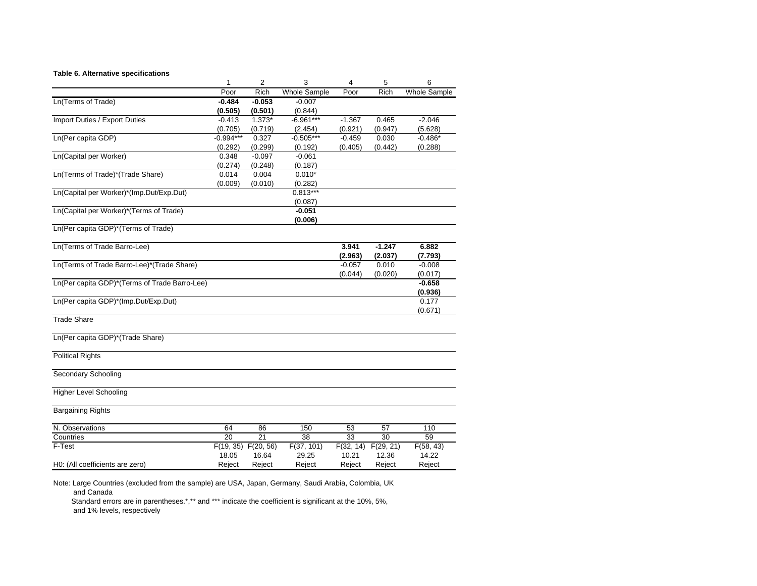#### **Table 6. Alternative specifications**

|                                               | 1           | $\overline{2}$  | 3                   | $\overline{\mathbf{4}}$ | 5           | 6                   |
|-----------------------------------------------|-------------|-----------------|---------------------|-------------------------|-------------|---------------------|
|                                               | Poor        | <b>Rich</b>     | <b>Whole Sample</b> | Poor                    | <b>Rich</b> | <b>Whole Sample</b> |
| Ln(Terms of Trade)                            | $-0.484$    | $-0.053$        | $-0.007$            |                         |             |                     |
|                                               | (0.505)     | (0.501)         | (0.844)             |                         |             |                     |
| Import Duties / Export Duties                 | $-0.413$    | $1.373*$        | $-6.961***$         | $-1.367$                | 0.465       | $-2.046$            |
|                                               | (0.705)     | (0.719)         | (2.454)             | (0.921)                 | (0.947)     | (5.628)             |
| Ln(Per capita GDP)                            | $-0.994***$ | 0.327           | $-0.505***$         | $-0.459$                | 0.030       | $-0.486*$           |
|                                               | (0.292)     | (0.299)         | (0.192)             | (0.405)                 | (0.442)     | (0.288)             |
| Ln(Capital per Worker)                        | 0.348       | $-0.097$        | $-0.061$            |                         |             |                     |
|                                               | (0.274)     | (0.248)         | (0.187)             |                         |             |                     |
| Ln(Terms of Trade)*(Trade Share)              | 0.014       | 0.004           | $0.010*$            |                         |             |                     |
|                                               | (0.009)     | (0.010)         | (0.282)             |                         |             |                     |
| Ln(Capital per Worker)*(Imp.Dut/Exp.Dut)      |             |                 | $0.813***$          |                         |             |                     |
|                                               |             |                 | (0.087)             |                         |             |                     |
| Ln(Capital per Worker)*(Terms of Trade)       |             |                 | $-0.051$            |                         |             |                     |
|                                               |             |                 | (0.006)             |                         |             |                     |
| Ln(Per capita GDP)*(Terms of Trade)           |             |                 |                     |                         |             |                     |
|                                               |             |                 |                     |                         |             |                     |
| Ln(Terms of Trade Barro-Lee)                  |             |                 |                     | 3.941                   | $-1.247$    | 6.882               |
|                                               |             |                 |                     | (2.963)                 | (2.037)     | (7.793)             |
| Ln(Terms of Trade Barro-Lee)*(Trade Share)    |             |                 |                     | $-0.057$                | 0.010       | $-0.008$            |
|                                               |             |                 |                     | (0.044)                 | (0.020)     | (0.017)             |
| Ln(Per capita GDP)*(Terms of Trade Barro-Lee) |             |                 |                     |                         |             | $-0.658$            |
|                                               |             |                 |                     |                         |             | (0.936)             |
| Ln(Per capita GDP)*(Imp.Dut/Exp.Dut)          |             |                 |                     |                         |             | 0.177               |
|                                               |             |                 |                     |                         |             | (0.671)             |
| <b>Trade Share</b>                            |             |                 |                     |                         |             |                     |
|                                               |             |                 |                     |                         |             |                     |
| Ln(Per capita GDP)*(Trade Share)              |             |                 |                     |                         |             |                     |
|                                               |             |                 |                     |                         |             |                     |
| <b>Political Rights</b>                       |             |                 |                     |                         |             |                     |
|                                               |             |                 |                     |                         |             |                     |
| Secondary Schooling                           |             |                 |                     |                         |             |                     |
|                                               |             |                 |                     |                         |             |                     |
| <b>Higher Level Schooling</b>                 |             |                 |                     |                         |             |                     |
| <b>Bargaining Rights</b>                      |             |                 |                     |                         |             |                     |
|                                               |             |                 |                     |                         |             |                     |
| N. Observations                               | 64          | 86              | 150                 | 53                      | 57          | 110                 |
| Countries                                     | 20          | $\overline{21}$ | 38                  | $\overline{33}$         | 30          | 59                  |
| F-Test                                        | F(19, 35)   | F(20, 56)       | F(37, 101)          | F(32, 14)               | F(29, 21)   | F(58, 43)           |
|                                               | 18.05       | 16.64           | 29.25               | 10.21                   | 12.36       | 14.22               |
| H0: (All coefficients are zero)               | Reject      | Reject          | Reject              | Reject                  | Reject      | Reject              |
|                                               |             |                 |                     |                         |             |                     |

Note: Large Countries (excluded from the sample) are USA, Japan, Germany, Saudi Arabia, Colombia, UK and Canada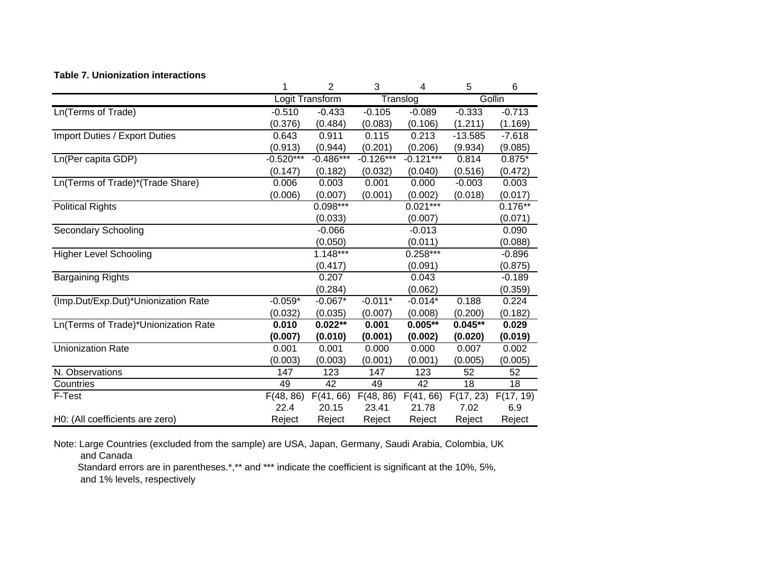#### **Table 7. Unionization interactions**

|                                      | 1           | 2               | 3           | 4                               | 5         | 6         |
|--------------------------------------|-------------|-----------------|-------------|---------------------------------|-----------|-----------|
|                                      |             | Logit Transform |             | $\overline{\mathsf{T}}$ ranslog |           | Gollin    |
| Ln(Terms of Trade)                   | $-0.510$    | $-0.433$        | $-0.105$    | $-0.089$                        | $-0.333$  | $-0.713$  |
|                                      | (0.376)     | (0.484)         | (0.083)     | (0.106)                         | (1.211)   | (1.169)   |
| Import Duties / Export Duties        | 0.643       | 0.911           | 0.115       | 0.213                           | $-13.585$ | $-7.618$  |
|                                      | (0.913)     | (0.944)         | (0.201)     | (0.206)                         | (9.934)   | (9.085)   |
| Ln(Per capita GDP)                   | $-0.520***$ | $-0.486***$     | $-0.126***$ | $-0.121***$                     | 0.814     | $0.875*$  |
|                                      | (0.147)     | (0.182)         | (0.032)     | (0.040)                         | (0.516)   | (0.472)   |
| Ln(Terms of Trade)*(Trade Share)     | 0.006       | 0.003           | 0.001       | 0.000                           | $-0.003$  | 0.003     |
|                                      | (0.006)     | (0.007)         | (0.001)     | (0.002)                         | (0.018)   | (0.017)   |
| <b>Political Rights</b>              |             | $0.098***$      |             | $0.021***$                      |           | $0.176**$ |
|                                      |             | (0.033)         |             | (0.007)                         |           | (0.071)   |
| <b>Secondary Schooling</b>           |             | $-0.066$        |             | $-0.013$                        |           | 0.090     |
|                                      |             | (0.050)         |             | (0.011)                         |           | (0.088)   |
| <b>Higher Level Schooling</b>        |             | $1.148***$      |             | $0.258***$                      |           | $-0.896$  |
|                                      |             | (0.417)         |             | (0.091)                         |           | (0.875)   |
| <b>Bargaining Rights</b>             |             | 0.207           |             | 0.043                           |           | $-0.189$  |
|                                      |             | (0.284)         |             | (0.062)                         |           | (0.359)   |
| (Imp.Dut/Exp.Dut)*Unionization Rate  | $-0.059*$   | $-0.067*$       | $-0.011*$   | $-0.014*$                       | 0.188     | 0.224     |
|                                      | (0.032)     | (0.035)         | (0.007)     | (0.008)                         | (0.200)   | (0.182)   |
| Ln(Terms of Trade)*Unionization Rate | 0.010       | $0.022**$       | 0.001       | $0.005**$                       | $0.045**$ | 0.029     |
|                                      | (0.007)     | (0.010)         | (0.001)     | (0.002)                         | (0.020)   | (0.019)   |
| <b>Unionization Rate</b>             | 0.001       | 0.001           | 0.000       | 0.000                           | 0.007     | 0.002     |
|                                      | (0.003)     | (0.003)         | (0.001)     | (0.001)                         | (0.005)   | (0.005)   |
| N. Observations                      | 147         | 123             | 147         | 123                             | 52        | 52        |
| Countries                            | 49          | 42              | 49          | 42                              | 18        | 18        |
| F-Test                               | F(48, 86)   | F(41, 66)       | F(48, 86)   | F(41, 66)                       | F(17, 23) | F(17, 19) |
|                                      | 22.4        | 20.15           | 23.41       | 21.78                           | 7.02      | 6.9       |
| H0: (All coefficients are zero)      | Reject      | Reject          | Reject      | Reject                          | Reject    | Reject    |

Note: Large Countries (excluded from the sample) are USA, Japan, Germany, Saudi Arabia, Colombia, UK

and Canada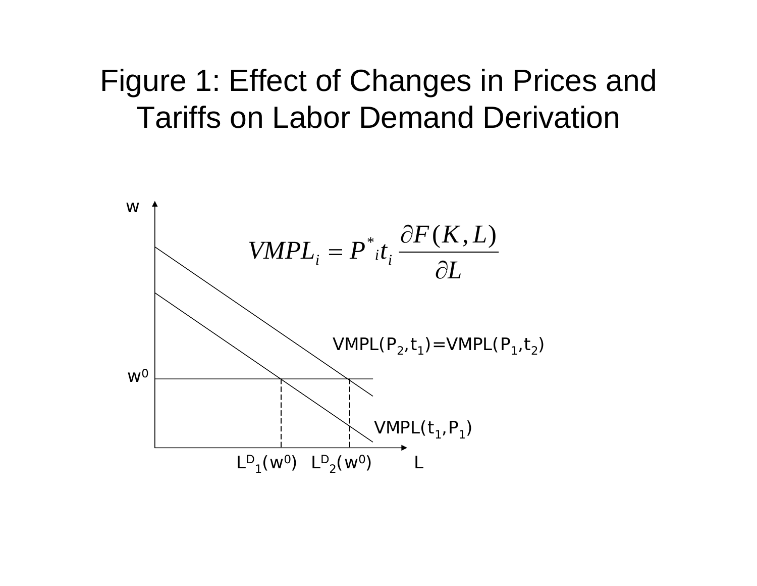# Figure 1: Effect of Changes in Prices and Tariffs on Labor Demand Derivation

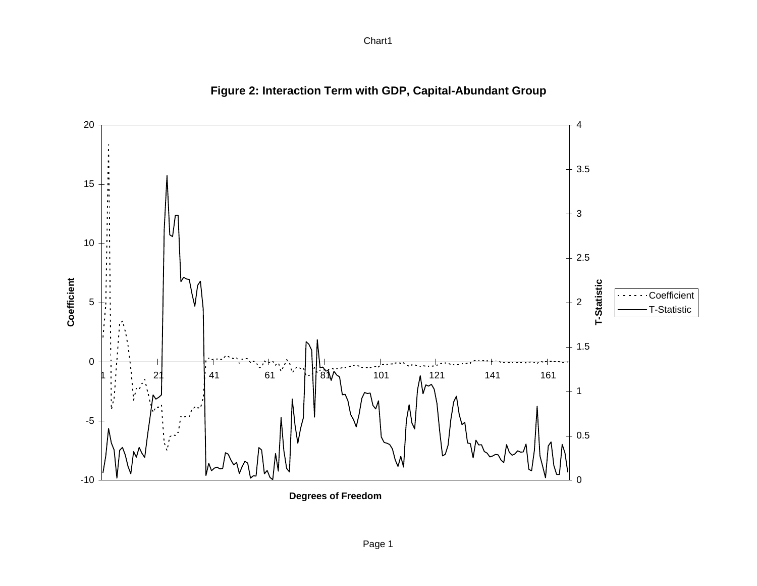## 420 3.5 15 3 10 2.5 Coefficient **Coefficient Transference**<br> **T-Statistic**<br>
T-Statistic<br>
T-Statistic 5 2 1.5 0 ν 161 1 21 41 61 81 101 121 141 1611-5 0.5  $\Omega$ -10

## **Figure 2: Interaction Term with GDP, Capital-Abundant Group**

**Degrees of Freedom**

Chart1